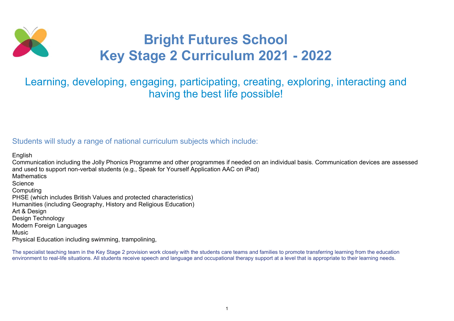

# Bright Futures School Key Stage 2 Curriculum 2021 - 2022

## Learning, developing, engaging, participating, creating, exploring, interacting and having the best life possible!

### Students will study a range of national curriculum subjects which include:

English Communication including the Jolly Phonics Programme and other programmes if needed on an individual basis. Communication devices are assessed and used to support non-verbal students (e.g., Speak for Yourself Application AAC on iPad) **Mathematics Science Computing** PHSE (which includes British Values and protected characteristics) Humanities (including Geography, History and Religious Education) Art & Design Design Technology Modern Foreign Languages **Music** Physical Education including swimming, trampolining,

The specialist teaching team in the Key Stage 2 provision work closely with the students care teams and families to promote transferring learning from the education environment to real-life situations. All students receive speech and language and occupational therapy support at a level that is appropriate to their learning needs.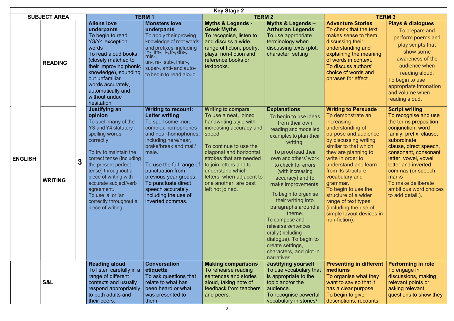|                     |                |   |                                                                                                                                                                                                                                                                                                                                                         |                                                                                                                                                                                                                                                                                                                                                     | <b>Key Stage 2</b>                                                                                                                                                                                                                                                                                                        |                                                                                                                                                                                                                                                                                                                                                                                                                                                                                                     |                                                                                                                                                                                                                                                                                                                                                                                                                                   |                                                                                                                                                                                                                                                                                                                                           |
|---------------------|----------------|---|---------------------------------------------------------------------------------------------------------------------------------------------------------------------------------------------------------------------------------------------------------------------------------------------------------------------------------------------------------|-----------------------------------------------------------------------------------------------------------------------------------------------------------------------------------------------------------------------------------------------------------------------------------------------------------------------------------------------------|---------------------------------------------------------------------------------------------------------------------------------------------------------------------------------------------------------------------------------------------------------------------------------------------------------------------------|-----------------------------------------------------------------------------------------------------------------------------------------------------------------------------------------------------------------------------------------------------------------------------------------------------------------------------------------------------------------------------------------------------------------------------------------------------------------------------------------------------|-----------------------------------------------------------------------------------------------------------------------------------------------------------------------------------------------------------------------------------------------------------------------------------------------------------------------------------------------------------------------------------------------------------------------------------|-------------------------------------------------------------------------------------------------------------------------------------------------------------------------------------------------------------------------------------------------------------------------------------------------------------------------------------------|
| <b>SUBJECT AREA</b> |                |   |                                                                                                                                                                                                                                                                                                                                                         | <b>TERM1</b>                                                                                                                                                                                                                                                                                                                                        | <b>TERM2</b>                                                                                                                                                                                                                                                                                                              |                                                                                                                                                                                                                                                                                                                                                                                                                                                                                                     | <b>TERM 3</b>                                                                                                                                                                                                                                                                                                                                                                                                                     |                                                                                                                                                                                                                                                                                                                                           |
|                     | <b>READING</b> |   | <b>Aliens love</b><br>underpants<br>To begin to read<br>Y3/Y4 exception<br>words<br>To read aloud books<br>(closely matched to<br>their improving phonic<br>knowledge), sounding<br>out unfamiliar<br>words accurately,<br>automatically and<br>without undue<br>hesitation                                                                             | <b>Monsters love</b><br>underpants<br>To apply their growing<br>knowledge of root words<br>and prefixes, including<br>in-, im-, il-, ir-, dis-, l<br>mis-,<br>un-, re-, sub-, inter-,<br>super-, anti- and auto-<br>to begin to read aloud.                                                                                                         | <b>Myths &amp; Legends -</b><br><b>Greek Myths</b><br>To recognise, listen to<br>and discuss a wide<br>range of fiction, poetry,<br>plays, non-fiction and<br>reference books or<br>textbooks.                                                                                                                            | <b>Myths &amp; Legends -</b><br><b>Arthurian Legends</b><br>To use appropriate<br>terminology when<br>discussing texts (plot,<br>character, setting                                                                                                                                                                                                                                                                                                                                                 | <b>Adventure Stories</b><br>To check that the text<br>makes sense to them.<br>discussing their<br>understanding and<br>explaining the meaning<br>of words in context.<br>To discuss authors'<br>choice of words and<br>phrases for effect                                                                                                                                                                                         | <b>Plays &amp; dialogues</b><br>To prepare and<br>perform poems and<br>play scripts that<br>show some<br>awareness of the<br>audience when<br>reading aloud.<br>To begin to use<br>appropriate intonation<br>and volume when<br>reading aloud.                                                                                            |
| <b>ENGLISH</b>      | <b>WRITING</b> | 3 | <b>Justifying an</b><br>opinion<br>To spell many of the<br>Y3 and Y4 statutory<br>spelling words<br>correctly.<br>To try to maintain the<br>correct tense (including<br>the present perfect<br>tense) throughout a<br>piece of writing with<br>accurate subject/verb<br>agreement.<br>To use 'a' or 'an'<br>correctly throughout a<br>piece of writing. | <b>Writing to recount:</b><br><b>Letter writing</b><br>To spell some more<br>complex homophones<br>and near-homophones,<br>including here/hear,<br>brake/break and mail/<br>male.<br>To use the full range of<br>punctuation from<br>previous year groups.<br>To punctuate direct<br>speech accurately,<br>including the use of<br>inverted commas. | <b>Writing to compare</b><br>To use a neat, joined<br>handwriting style with<br>increasing accuracy and<br>speed.<br>To continue to use the<br>diagonal and horizontal<br>strokes that are needed<br>to join letters and to<br>understand which<br>letters, when adjacent to<br>one another, are best<br>left not joined. | <b>Explanations</b><br>To begin to use ideas<br>from their own<br>reading and modelled<br>examples to plan their<br>writing.<br>To proofread their<br>own and others' work<br>to check for errors<br>(with increasing<br>accuracy) and to<br>make improvements.<br>To begin to organise<br>their writing into<br>paragraphs around a<br>theme.<br>To compose and<br>rehearse sentences<br>orally (including<br>dialogue). To begin to<br>create settings,<br>characters, and plot in<br>narratives. | <b>Writing to Persuade</b><br>To demonstrate an<br>increasing<br>understanding of<br>purpose and audience<br>by discussing writing<br>similar to that which<br>they are planning to<br>write in order to<br>understand and learn<br>from its structure,<br>vocabulary and<br>grammar.<br>To begin to use the<br>structure of a wider<br>range of text types<br>(including the use of<br>simple layout devices in<br>non-fiction). | <b>Script writing</b><br>To recognise and use<br>the terms preposition,<br>conjunction, word<br>family, prefix, clause,<br>subordinate<br>clause, direct speech,<br>consonant, consonant<br>letter, vowel, vowel<br>letter and inverted<br>commas (or speech<br>marks<br>To make deliberate<br>ambitious word choices<br>to add detail.). |
|                     | <b>S&amp;L</b> |   | <b>Reading aloud</b><br>To listen carefully in a<br>range of different<br>contexts and usually<br>respond appropriately<br>to both adults and<br>their peers.                                                                                                                                                                                           | <b>Conversation</b><br>etiquette<br>To ask questions that<br>relate to what has<br>been heard or what<br>was presented to<br>them.                                                                                                                                                                                                                  | <b>Making comparisons</b><br>To rehearse reading<br>sentences and stories<br>aloud, taking note of<br>feedback from teachers<br>and peers.                                                                                                                                                                                | <b>Justifying yourself</b><br>To use vocabulary that<br>is appropriate to the<br>topic and/or the<br>audience.<br>To recognise powerful<br>vocabulary in stories/                                                                                                                                                                                                                                                                                                                                   | <b>Presenting in different</b><br>mediums<br>To organise what they<br>want to say so that it<br>has a clear purpose.<br>To begin to give<br>descriptions, recounts                                                                                                                                                                                                                                                                | <b>Performing in role</b><br>To engage in<br>discussions, making<br>relevant points or<br>asking relevant<br>questions to show they                                                                                                                                                                                                       |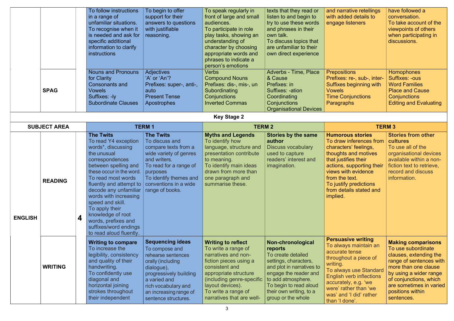|                | <b>SPAG</b>         |   | To follow instructions<br>in a range of<br>unfamiliar situations.<br>To recognise when it<br>is needed and ask for<br>specific additional<br>information to clarify<br><b>instructions</b><br><b>Nouns and Pronouns</b><br>for Clarity<br><b>Consonants and</b><br><b>Vowels</b><br>Suffixes: - ly<br><b>Subordinate Clauses</b>                                                              | To begin to offer<br>support for their<br>answers to questions<br>with justifiable<br>reasoning.<br><b>Adjectives</b><br>'A' or 'An'?<br>Prefixes: super-, anti-,<br>auto<br><b>Present Tense</b><br>Apostrophes      | To speak regularly in<br>front of large and small<br>audiences.<br>To participate in role<br>play tasks, showing an<br>understanding of<br>character by choosing<br>appropriate words and<br>phrases to indicate a<br>person's emotions<br><b>Verbs</b><br><b>Compound Nouns</b><br>Prefixes: dis-, mis-, un<br>Subordinating<br>Conjunctions<br><b>Inverted Commas</b> | texts that they read or<br>listen to and begin to<br>try to use these words<br>and phrases in their<br>own talk.<br>To discuss topics that<br>are unfamiliar to their<br>own direct experience<br><b>Adverbs - Time, Place</b><br>& Cause<br>Prefixes: in<br>Suffixes: -ation<br>Coordinating<br>Conjunctions<br><b>Organisational Devices</b> | and narrative retellings<br>with added details to<br>engage listeners<br><b>Prepositions</b><br>Prefixes: re-, sub-, inter-<br>Suffixes beginning with<br><b>Vowels</b><br><b>Time Conjunctions</b><br>Paragraphs                                                    | have followed a<br>conversation.<br>To take account of the<br>viewpoints of others<br>when participating in<br>discussions.<br><b>Homophones</b><br><b>Suffixes: -ous</b><br><b>Word Families</b><br><b>Place and Cause</b><br>Conjunctions<br><b>Editing and Evaluating</b> |
|----------------|---------------------|---|-----------------------------------------------------------------------------------------------------------------------------------------------------------------------------------------------------------------------------------------------------------------------------------------------------------------------------------------------------------------------------------------------|-----------------------------------------------------------------------------------------------------------------------------------------------------------------------------------------------------------------------|-------------------------------------------------------------------------------------------------------------------------------------------------------------------------------------------------------------------------------------------------------------------------------------------------------------------------------------------------------------------------|------------------------------------------------------------------------------------------------------------------------------------------------------------------------------------------------------------------------------------------------------------------------------------------------------------------------------------------------|----------------------------------------------------------------------------------------------------------------------------------------------------------------------------------------------------------------------------------------------------------------------|------------------------------------------------------------------------------------------------------------------------------------------------------------------------------------------------------------------------------------------------------------------------------|
|                |                     |   |                                                                                                                                                                                                                                                                                                                                                                                               |                                                                                                                                                                                                                       | <b>Key Stage 2</b>                                                                                                                                                                                                                                                                                                                                                      |                                                                                                                                                                                                                                                                                                                                                |                                                                                                                                                                                                                                                                      |                                                                                                                                                                                                                                                                              |
|                | <b>SUBJECT AREA</b> |   |                                                                                                                                                                                                                                                                                                                                                                                               | <b>TERM1</b>                                                                                                                                                                                                          | <b>TERM 2</b>                                                                                                                                                                                                                                                                                                                                                           |                                                                                                                                                                                                                                                                                                                                                |                                                                                                                                                                                                                                                                      | <b>TERM 3</b>                                                                                                                                                                                                                                                                |
| <b>ENGLISH</b> | <b>READING</b>      | 4 | <b>The Twits</b><br>To read Y4 exception<br>words*, discussing<br>the unusual<br>correspondences<br>between spelling and<br>these occur in the word.<br>To read most words<br>fluently and attempt to<br>decode any unfamiliar<br>words with increasing<br>speed and skill.<br>To apply their<br>knowledge of root<br>words, prefixes and<br>suffixes/word endings<br>to read aloud fluently. | <b>The Twits</b><br>To discuss and<br>compare texts from a<br>wide variety of genres<br>and writers.<br>To read for a range of<br>purposes<br>To identify themes and<br>conventions in a wide<br>range of books.      | <b>Myths and Legends</b><br>To identify how<br>language, structure and<br>presentation contribute<br>to meaning.<br>To identify main ideas<br>drawn from more than<br>one paragraph and<br>summarise these.                                                                                                                                                             | <b>Stories by the same</b><br>author<br><b>Discuss vocabulary</b><br>used to capture<br>readers' interest and<br>imagination.                                                                                                                                                                                                                  | <b>Humorous stories</b><br>To draw inferences from<br>characters' feelings,<br>thoughts and motives<br>that justifies their<br>actions, supporting their<br>views with evidence<br>from the text.<br>To justify predictions<br>from details stated and<br>implied.   | <b>Stories from other</b><br>cultures<br>To use all of the<br>organisational devices<br>available within a non-<br>fiction text to retrieve,<br>record and discuss<br>information.                                                                                           |
|                | <b>WRITING</b>      |   | <b>Writing to compare</b><br>To increase the<br>legibility, consistency<br>and quality of their<br>handwriting.<br>To confidently use<br>diagonal and<br>horizontal joining<br>strokes throughout<br>their independent                                                                                                                                                                        | <b>Sequencing ideas</b><br>To compose and<br>rehearse sentences<br>orally (including<br>dialogue),<br>progressively building<br>a varied and<br>rich vocabulary and<br>an increasing range of<br>sentence structures. | <b>Writing to reflect</b><br>To write a range of<br>narratives and non-<br>fiction pieces using a<br>consistent and<br>appropriate structure<br>(including genre-specific<br>layout devices).<br>To write a range of<br>narratives that are well-                                                                                                                       | Non-chronological<br>reports<br>To create detailed<br>settings, characters,<br>and plot in narratives to<br>engage the reader and<br>to add atmosphere.<br>To begin to read aloud<br>their own writing, to a<br>group or the whole                                                                                                             | <b>Persuasive writing</b><br>To always maintain an<br>accurate tense<br>throughout a piece of<br>writing.<br>To always use Standard<br><b>English verb inflections</b><br>accurately, e.g. 'we<br>were' rather than 'we<br>was' and 'I did' rather<br>than 'I done'. | <b>Making comparisons</b><br>To use subordinate<br>clauses, extending the<br>range of sentences with<br>more than one clause<br>by using a wider range<br>of conjunctions, which<br>are sometimes in varied<br>positions within<br>sentences.                                |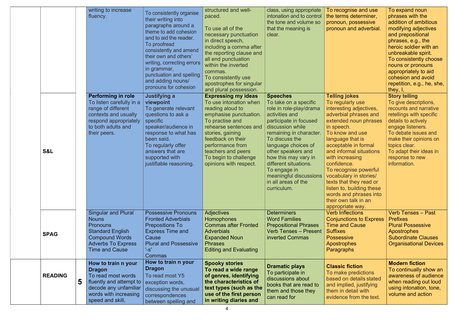|                     | writing to increase<br>fluency.                                                                                                                                         | To consistently organise<br>their writing into<br>paragraphs around a<br>theme to add cohesion<br>and to aid the reader.<br>To proofread<br>consistently and amend<br>their own and others'<br>writing, correcting errors<br>in grammar,<br>punctuation and spelling<br>and adding nouns/<br>pronouns for cohesion | structured and well-<br>paced.<br>To use all of the<br>necessary punctuation<br>in direct speech,<br>including a comma after<br>the reporting clause and<br>all end punctuation<br>within the inverted<br>commas.<br>To consistently use<br>apostrophes for singular<br>and plural possession. | class, using appropriate<br>intonation and to control<br>the tone and volume so<br>that the meaning is<br>clear.                                                                                                                                                                                                                                               | To recognise and use<br>the terms determiner,<br>pronoun, possessive<br>pronoun and adverbial.                                                                                                                                                                                                                                                                                                                                                   | To expand noun<br>phrases with the<br>addition of ambitious<br>modifying adjectives<br>and prepositional<br>phrases, e.g., the<br>heroic soldier with an<br>unbreakable spirit.<br>To consistently choose<br>nouns or pronouns<br>appropriately to aid<br>cohesion and avoid<br>repetition, e.g., he, she,<br>they, $I,$ |
|---------------------|-------------------------------------------------------------------------------------------------------------------------------------------------------------------------|--------------------------------------------------------------------------------------------------------------------------------------------------------------------------------------------------------------------------------------------------------------------------------------------------------------------|------------------------------------------------------------------------------------------------------------------------------------------------------------------------------------------------------------------------------------------------------------------------------------------------|----------------------------------------------------------------------------------------------------------------------------------------------------------------------------------------------------------------------------------------------------------------------------------------------------------------------------------------------------------------|--------------------------------------------------------------------------------------------------------------------------------------------------------------------------------------------------------------------------------------------------------------------------------------------------------------------------------------------------------------------------------------------------------------------------------------------------|--------------------------------------------------------------------------------------------------------------------------------------------------------------------------------------------------------------------------------------------------------------------------------------------------------------------------|
| <b>S&amp;L</b>      | <b>Performing in role</b><br>To listen carefully in a<br>range of different<br>contexts and usually<br>respond appropriately<br>to both adults and<br>their peers.      | <b>Justifying a</b><br>viewpoint<br>To generate relevant<br>questions to ask a<br>specific<br>speaker/audience in<br>response to what has<br>been said.<br>To regularly offer<br>answers that are<br>supported with<br>justifiable reasoning.                                                                      | <b>Expressing my ideas</b><br>To use intonation when<br>reading aloud to<br>emphasise punctuation.<br>To practise and<br>rehearse sentences and<br>stories, gaining<br>feedback on their<br>performance from<br>teachers and peers<br>To begin to challenge<br>opinions with respect.          | <b>Speeches</b><br>To take on a specific<br>role in role-play/drama<br>activities and<br>participate in focused<br>discussion while<br>remaining in character.<br>To discuss the<br>language choices of<br>other speakers and<br>how this may vary in<br>different situations.<br>To engage in<br>meaningful discussions<br>in all areas of the<br>curriculum. | <b>Telling jokes</b><br>To regularly use<br>interesting adjectives,<br>adverbial phrases and<br>extended noun phrases<br>in speech.<br>To know and use<br>language that is<br>acceptable in formal<br>and informal situations<br>with increasing<br>confidence.<br>To recognise powerful<br>vocabulary in stories/<br>texts that they read or<br>listen to, building these<br>words and phrases into<br>their own talk in an<br>appropriate way. | <b>Story telling</b><br>To give descriptions,<br>recounts and narrative<br>retellings with specific<br>details to actively<br>engage listeners.<br>To debate issues and<br>make their opinions on<br>topics clear.<br>To adapt their ideas in<br>response to new<br>information.                                         |
| <b>SPAG</b>         | <b>Singular and Plural</b><br><b>Nouns</b><br><b>Pronouns</b><br><b>Standard English</b><br><b>Compound Words</b><br><b>Adverbs To Express</b><br><b>Time and Cause</b> | <b>Possessive Pronouns</b><br><b>Fronted Adverbials</b><br><b>Prepositions To</b><br><b>Express Time and</b><br>Cause<br><b>Plural and Possessive</b><br>'s'<br><b>Commas</b>                                                                                                                                      | <b>Adjectives</b><br><b>Homophones</b><br><b>Commas after Fronted</b><br><b>Adverbials</b><br><b>Expanded Noun</b><br><b>Phrases</b><br><b>Editing and Evaluating</b>                                                                                                                          | <b>Determiners</b><br><b>Word Families</b><br><b>Prepositional Phrases</b><br><b>Verb Tenses - Present</b><br>inverted Commas                                                                                                                                                                                                                                  | <b>Verb Inflections</b><br><b>Conjunctions to Express</b><br><b>Time and Cause</b><br><b>Suffixes</b><br><b>Possessive</b><br>Apostrophes<br>Paragraphs                                                                                                                                                                                                                                                                                          | <b>Verb Tenses - Past</b><br><b>Prefixes</b><br><b>Plural Possessive</b><br><b>Apostrophes</b><br><b>Subordinate Clauses</b><br><b>Organisational Devices</b>                                                                                                                                                            |
| <b>READING</b><br>5 | How to train n your<br><b>Dragon</b><br>To read most words<br>fluently and attempt to<br>decode any unfamiliar<br>words with increasing<br>speed and skill,             | How to train n your<br><b>Dragon</b><br>To read most Y5<br>exception words,<br>discussing the unusual<br>correspondences<br>between spelling and                                                                                                                                                                   | <b>Spooky stories</b><br>To read a wide range<br>of genres, identifying<br>the characteristics of<br>text types (such as the<br>use of the first person<br>in writing diaries and                                                                                                              | <b>Dramatic plays</b><br>To participate in<br>discussions about<br>books that are read to<br>them and those they<br>can read for                                                                                                                                                                                                                               | <b>Classic fiction</b><br>To make predictions<br>based on details stated<br>and implied, justifying<br>them in detail with<br>evidence from the text.                                                                                                                                                                                                                                                                                            | <b>Modern fiction</b><br>To continually show an<br>awareness of audience<br>when reading out loud<br>using intonation, tone,<br>volume and action                                                                                                                                                                        |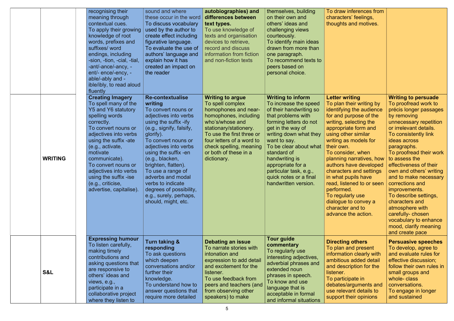|                | recognising their<br>meaning through<br>contextual cues.<br>To apply their growing<br>knowledge of root<br>words, prefixes and<br>suffixes/ word<br>endings, including<br>-sion, -tion, -cial, -tial,<br>-ant/-ance/-ancy, -<br>ent/- ence/-ency, -<br>able/-ably and -<br>ible/ibly, to read aloud<br>fluently                                           | sound and where<br>these occur in the word<br>To discuss vocabulary<br>used by the author to<br>create effect including<br>figurative language.<br>To evaluate the use of<br>authors' language and<br>explain how it has<br>created an impact on<br>the reader                                                                                                                                                    | autobiographies) and<br>differences between<br>text types.<br>To use knowledge of<br>texts and organisation<br>devices to retrieve,<br>record and discuss<br>information from fiction<br>and non-fiction texts                                                         | themselves, building<br>on their own and<br>others' ideas and<br>challenging views<br>courteously.<br>To identify main ideas<br>drawn from more than<br>one paragraph.<br>To recommend texts to<br>peers based on<br>personal choice.                                                                                                                   | To draw inferences from<br>characters' feelings,<br>thoughts and motives.                                                                                                                                                                                                                                                                                                                                                                                                              |                                                                                                                                                                                                                                                                                                                                                                                                                                                                                                                             |
|----------------|-----------------------------------------------------------------------------------------------------------------------------------------------------------------------------------------------------------------------------------------------------------------------------------------------------------------------------------------------------------|-------------------------------------------------------------------------------------------------------------------------------------------------------------------------------------------------------------------------------------------------------------------------------------------------------------------------------------------------------------------------------------------------------------------|------------------------------------------------------------------------------------------------------------------------------------------------------------------------------------------------------------------------------------------------------------------------|---------------------------------------------------------------------------------------------------------------------------------------------------------------------------------------------------------------------------------------------------------------------------------------------------------------------------------------------------------|----------------------------------------------------------------------------------------------------------------------------------------------------------------------------------------------------------------------------------------------------------------------------------------------------------------------------------------------------------------------------------------------------------------------------------------------------------------------------------------|-----------------------------------------------------------------------------------------------------------------------------------------------------------------------------------------------------------------------------------------------------------------------------------------------------------------------------------------------------------------------------------------------------------------------------------------------------------------------------------------------------------------------------|
| <b>WRITING</b> | <b>Creating Imagery</b><br>To spell many of the<br>Y5 and Y6 statutory<br>spelling words<br>correctly.<br>To convert nouns or<br>adjectives into verbs<br>using the suffix -ate<br>(e.g., activate,<br>motivate<br>communicate).<br>To convert nouns or<br>adjectives into verbs<br>using the suffix -ise<br>(e.g., criticise,<br>advertise, capitalise). | <b>Re-contextualise</b><br>writing<br>To convert nouns or<br>adjectives into verbs<br>using the suffix -ify<br>(e.g., signify, falsify,<br>glorify).<br>To convert nouns or<br>adjectives into verbs<br>using the suffix -en<br>(e.g., blacken,<br>brighten, flatten).<br>To use a range of<br>adverbs and modal<br>verbs to indicate<br>degrees of possibility,<br>e.g., surely, perhaps,<br>should, might, etc. | <b>Writing to argue</b><br>To spell complex<br>homophones and near-<br>homophones, including<br>who's/whose and<br>stationary/stationery.<br>To use the first three or<br>four letters of a word to<br>check spelling, meaning<br>or both of these in a<br>dictionary. | <b>Writing to inform</b><br>To increase the speed<br>of their handwriting so<br>that problems with<br>forming letters do not<br>get in the way of<br>writing down what they<br>want to say.<br>To be clear about what<br>standard of<br>handwriting is<br>appropriate for a<br>particular task, e.g.,<br>quick notes or a final<br>handwritten version. | <b>Letter writing</b><br>To plan their writing by<br>identifying the audience<br>for and purpose of the<br>writing, selecting the<br>appropriate form and<br>using other similar<br>writing as models for<br>their own.<br>To consider, when<br>planning narratives, how<br>authors have developed<br>characters and settings<br>in what pupils have<br>read, listened to or seen<br>performed.<br>To regularly use<br>dialogue to convey a<br>character and to<br>advance the action. | <b>Writing to persuade</b><br>To proofread work to<br>précis longer passages<br>by removing<br>unnecessary repetition<br>or irrelevant details.<br>To consistently link<br>ideas across<br>paragraphs.<br>To proofread their work<br>to assess the<br>effectiveness of their<br>own and others' writing<br>and to make necessary<br>corrections and<br>improvements.<br>To describe settings,<br>characters and<br>atmosphere with<br>carefully-chosen<br>vocabulary to enhance<br>mood, clarify meaning<br>and create pace |
| S&L            | <b>Expressing humour</b><br>To listen carefully,<br>making timely<br>contributions and<br>asking questions that<br>are responsive to<br>others' ideas and<br>views, e.g.,<br>participate in a<br>collaborative project<br>where they listen to                                                                                                            | <b>Turn taking &amp;</b><br>responding<br>To ask questions<br>which deepen<br>conversations and/or<br>further their<br>knowledge.<br>To understand how to<br>answer questions that<br>require more detailed                                                                                                                                                                                                       | Debating an issue<br>To narrate stories with<br>intonation and<br>expression to add detail<br>and excitement for the<br>listener.<br>To use feedback from<br>peers and teachers (and<br>from observing other<br>speakers) to make                                      | <b>Tour guide</b><br>commentary<br>To regularly use<br>interesting adjectives,<br>adverbial phrases and<br>extended noun<br>phrases in speech.<br>To know and use<br>language that is<br>acceptable in formal<br>and informal situations                                                                                                                | <b>Directing others</b><br>To plan and present<br>information clearly with<br>ambitious added detail<br>and description for the<br>listener.<br>To participate in<br>debates/arguments and<br>use relevant details to<br>support their opinions                                                                                                                                                                                                                                        | <b>Persuasive speeches</b><br>To develop, agree to<br>and evaluate rules for<br>effective discussion;<br>follow their own rules in<br>small groups and<br>whole-class<br>conversations.<br>To engage in longer<br>and sustained                                                                                                                                                                                                                                                                                             |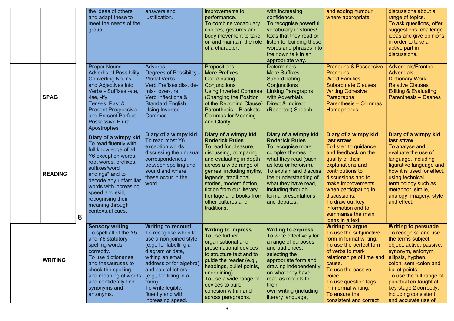|                |   | the ideas of others<br>and adapt these to<br>meet the needs of the<br>group                                                                                                                                                                                                                              | answers and<br>justification.                                                                                                                                                                                                                                                                               | improvements to<br>performance.<br>To combine vocabulary<br>choices, gestures and<br>body movement to take<br>on and maintain the role<br>of a character.                                                                                                                                                                         | with increasing<br>confidence.<br>To recognise powerful<br>vocabulary in stories/<br>texts that they read or<br>listen to, building these<br>words and phrases into<br>their own talk in an<br>appropriate way.                                                                  | and adding humour<br>where appropriate.                                                                                                                                                                                                                                                                               | discussions about a<br>range of topics.<br>To ask questions, offer<br>suggestions, challenge<br>ideas and give opinions<br>in order to take an<br>active part in<br>discussions.                                                                                                                                        |
|----------------|---|----------------------------------------------------------------------------------------------------------------------------------------------------------------------------------------------------------------------------------------------------------------------------------------------------------|-------------------------------------------------------------------------------------------------------------------------------------------------------------------------------------------------------------------------------------------------------------------------------------------------------------|-----------------------------------------------------------------------------------------------------------------------------------------------------------------------------------------------------------------------------------------------------------------------------------------------------------------------------------|----------------------------------------------------------------------------------------------------------------------------------------------------------------------------------------------------------------------------------------------------------------------------------|-----------------------------------------------------------------------------------------------------------------------------------------------------------------------------------------------------------------------------------------------------------------------------------------------------------------------|-------------------------------------------------------------------------------------------------------------------------------------------------------------------------------------------------------------------------------------------------------------------------------------------------------------------------|
| <b>SPAG</b>    |   | <b>Proper Nouns</b><br><b>Adverbs of Possibility</b><br><b>Converting Nouns</b><br>and Adjectives into<br>Verbs - Suffixes -ate,<br>-ise, -ify<br>Tenses: Past &<br><b>Present Progressive</b><br>and Present Perfect<br><b>Possessive Plural</b><br>Apostrophes                                         | <b>Adverbs</b><br><b>Degrees of Possibility</b><br><b>Modal Verbs</b><br>Verb Prefixes dis-, de-,<br>mis-, over-, re<br>Verb Inflections &<br><b>Standard English</b><br>Using Inverted<br>Commas                                                                                                           | <b>Prepositions</b><br><b>More Prefixes</b><br>Coordinating<br><b>Conjunctions</b><br><b>Using Inverted Commas</b><br>(Changing the Position<br>of the Reporting Clause)<br><b>Parenthesis - Brackets</b><br><b>Commas for Meaning</b><br>and Clarity                                                                             | <b>Determiners</b><br><b>More Suffixes</b><br>Subordinating<br>Conjunctions<br><b>Linking Paragraphs</b><br>with Adverbials<br>Direct & Indirect<br>(Reported) Speech                                                                                                            | <b>Pronouns &amp; Possessive</b><br><b>Pronouns</b><br><b>Word Families</b><br><b>Subordinate Clauses</b><br><b>Writing Cohesive</b><br><b>Paragraphs</b><br><b>Parenthesis – Commas</b><br>Homophones                                                                                                                | <b>Adverbials/Fronted</b><br><b>Adverbials</b><br><b>Dictionary Work</b><br><b>Relative Clauses</b><br><b>Editing &amp; Evaluating</b><br><b>Parenthesis – Dashes</b>                                                                                                                                                   |
| <b>READING</b> | 6 | Diary of a wimpy kid<br>To read fluently with<br>full knowledge of all<br>Y6 exception words,<br>root words, prefixes,<br>suffixes/word<br>endings <sup>*</sup> and to<br>decode any unfamiliar<br>words with increasing<br>speed and skill,<br>recognising their<br>meaning through<br>contextual cues. | Diary of a wimpy kid<br>To read most Y6<br>exception words,<br>discussing the unusual<br>correspondences<br>between spelling and<br>sound and where<br>these occur in the<br>word.                                                                                                                          | Diary of a wimpy kid<br><b>Roderick Rules</b><br>To read for pleasure,<br>discussing, comparing<br>and evaluating in depth<br>across a wide range of<br>genres, including myths,<br>legends, traditional<br>stories, modern fiction,<br>fiction from our literary<br>heritage and books from<br>other cultures and<br>traditions. | Diary of a wimpy kid<br><b>Roderick Rules</b><br>To recognise more<br>complex themes in<br>what they read (such<br>as loss or heroism).<br>To explain and discuss<br>their understanding of<br>what they have read,<br>including through<br>formal presentations<br>and debates, | Diary of a wimpy kid<br>last straw<br>To listen to guidance<br>and feedback on the<br>quality of their<br>explanations and<br>contributions to<br>discussions and to<br>make improvements<br>when participating in<br>discussions.<br>To draw out key<br>information and to<br>summarise the main<br>ideas in a text. | Diary of a wimpy kid<br>last straw<br>To analyse and<br>evaluate the use of<br>language, including<br>figurative language and<br>how it is used for effect,<br>using technical<br>terminology such as<br>metaphor, simile,<br>analogy, imagery, style<br>and effect.                                                    |
| <b>WRITING</b> |   | <b>Sensory writing</b><br>To spell all of the Y5<br>and Y6 statutory<br>spelling words<br>correctly.<br>To use dictionaries<br>and thesauruses to<br>check the spelling<br>and meaning of words<br>and confidently find<br>synonyms and<br>antonyms.                                                     | <b>Writing to recount</b><br>To recognise when to<br>use a non-joined style<br>(e.g., for labelling a<br>diagram or data,<br>writing an email<br>address or for algebra)<br>and capital letters<br>$\vert$ (e.g., for filling in a<br>form).<br>To write legibly,<br>fluently and with<br>increasing speed. | <b>Writing to impress</b><br>To use further<br>organisational and<br>presentational devices<br>to structure text and to<br>guide the reader (e.g.,<br>headings, bullet points,<br>underlining).<br>To use a wide range of<br>devices to build<br>cohesion within and<br>across paragraphs.                                        | <b>Writing to express</b><br>To write effectively for<br>a range of purposes<br>and audiences,<br>selecting the<br>appropriate form and<br>drawing independently<br>on what they have<br>read as models for<br>their<br>own writing (including<br>literary language,             | <b>Writing to argue</b><br>To use the subjunctive<br>form in formal writing.<br>To use the perfect form<br>of verbs to mark<br>relationships of time and<br>cause.<br>To use the passive<br>voice.<br>To use question tags<br>in informal writing.<br>To ensure the<br>consistent and correct                         | <b>Writing to persuade</b><br>To recognise and use<br>the terms subject,<br>object, active, passive,<br>synonym, antonym,<br>ellipsis, hyphen,<br>colon, semi-colon and<br>bullet points.<br>To use the full range of<br>punctuation taught at<br>key stage 2 correctly,<br>including consistent<br>and accurate use of |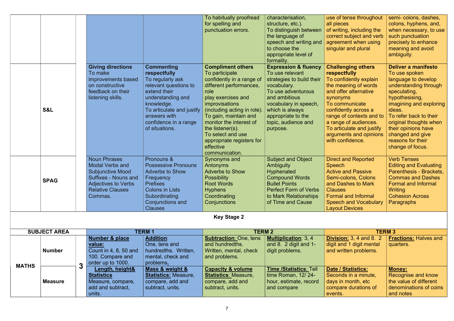|             |                                                                                                                                                                      |                                                                                                                                                                                                                           | To habitually proofread<br>for spelling and<br>punctuation errors.                                                                                                                                                                                                                                                                                | characterisation,<br>structure, etc.).<br>To distinguish between<br>the language of<br>speech and writing and<br>to choose the<br>appropriate level of<br>formality.                                                                       | use of tense throughout<br>all pieces<br>of writing, including the<br>correct subject and verb<br>agreement when using<br>singular and plural                                                                                                                                                              | semi-colons, dashes,<br>colons, hyphens, and,<br>when necessary, to use<br>such punctuation<br>precisely to enhance<br>meaning and avoid<br>ambiguity.                                                                                                                                              |
|-------------|----------------------------------------------------------------------------------------------------------------------------------------------------------------------|---------------------------------------------------------------------------------------------------------------------------------------------------------------------------------------------------------------------------|---------------------------------------------------------------------------------------------------------------------------------------------------------------------------------------------------------------------------------------------------------------------------------------------------------------------------------------------------|--------------------------------------------------------------------------------------------------------------------------------------------------------------------------------------------------------------------------------------------|------------------------------------------------------------------------------------------------------------------------------------------------------------------------------------------------------------------------------------------------------------------------------------------------------------|-----------------------------------------------------------------------------------------------------------------------------------------------------------------------------------------------------------------------------------------------------------------------------------------------------|
| S&L         | <b>Giving directions</b><br>To make<br>improvements based<br>on constructive<br>feedback on their<br>listening skills.                                               | <b>Commenting</b><br>respectfully<br>To regularly ask<br>relevant questions to<br>extend their<br>understanding and<br>knowledge.<br>To articulate and justify<br>answers with<br>confidence in a range<br>of situations. | <b>Compliment others</b><br>To participate<br>confidently in a range of<br>different performances,<br>role<br>play exercises and<br><i>improvisations</i><br>(including acting in role).<br>To gain, maintain and<br>monitor the interest of<br>the listener(s).<br>To select and use<br>appropriate registers for<br>effective<br>communication. | <b>Expression &amp; fluency</b><br>To use relevant<br>strategies to build their<br>vocabulary.<br>To use adventurous<br>and ambitious<br>vocabulary in speech,<br>which is always<br>appropriate to the<br>topic, audience and<br>purpose. | <b>Challenging others</b><br>respectfully<br>To confidently explain<br>the meaning of words<br>and offer alternative<br>synonyms<br>To communicate<br>confidently across a<br>range of contexts and to<br>a range of audiences.<br>To articulate and justify<br>arguments and opinions<br>with confidence. | Deliver a manifesto<br>To use spoken<br>language to develop<br>understanding through<br>speculating,<br>hypothesising,<br>imagining and exploring<br>ideas.<br>To refer back to their<br>original thoughts when<br>their opinions have<br>changed and give<br>reasons for their<br>change of focus. |
| <b>SPAG</b> | <b>Noun Phrases</b><br><b>Modal Verbs and</b><br><b>Subjunctive Mood</b><br><b>Suffixes - Nouns and</b><br>Adjectives to Verbs<br><b>Relative Clauses</b><br>Commas. | Pronouns &<br><b>Possessive Pronouns</b><br><b>Adverbs to Show</b><br>Frequency<br><b>Prefixes</b><br><b>Colons in Lists</b><br>Subordinating<br><b>Conjunctions and</b><br><b>Clauses</b>                                | <b>Synonyms and</b><br>Antonyms<br><b>Adverbs to Show</b><br><b>Possibility</b><br><b>Root Words</b><br><b>Hyphens</b><br>Coordinating<br>Conjunctions                                                                                                                                                                                            | <b>Subject and Object</b><br><b>Ambiguity</b><br><b>Hyphenated</b><br><b>Compound Words</b><br><b>Bullet Points</b><br><b>Perfect Form of Verbs</b><br>to Mark Relationships<br>of Time and Cause                                          | <b>Direct and Reported</b><br><b>Speech</b><br><b>Active and Passive</b><br>Semi-colons, Colons<br>and Dashes to Mark<br><b>Clauses</b><br><b>Formal and Informal</b><br><b>Speech and Vocabulary</b><br><b>Layout Devices</b>                                                                             | <b>Verb Tenses</b><br><b>Editing and Evaluating</b><br>Parenthesis - Brackets,<br><b>Commas and Dashes</b><br><b>Formal and Informal</b><br>Writing<br><b>Cohesion Across</b><br>Paragraphs                                                                                                         |
|             |                                                                                                                                                                      |                                                                                                                                                                                                                           | <b>Key Stage 2</b>                                                                                                                                                                                                                                                                                                                                |                                                                                                                                                                                                                                            |                                                                                                                                                                                                                                                                                                            |                                                                                                                                                                                                                                                                                                     |

| <b>SUBJECT AREA</b> |                |   | <b>TERM 1</b>         |                      | <b>TERM 2</b>                 |                               | <b>TERM 3</b>                  |                              |
|---------------------|----------------|---|-----------------------|----------------------|-------------------------------|-------------------------------|--------------------------------|------------------------------|
|                     |                |   | Number & place        | <b>Addition:</b>     | <b>Subtraction: One, tens</b> | <b>Multiplication: 3, 4</b>   | <b>Division:</b> 3, 4 and 8. 2 | <b>Fractions: Halves and</b> |
|                     |                |   | value:                | One, tens and        | and hundredths.               | and 8. $2$ digit and 1-       | digit and 1 digit mental       | quarters.                    |
|                     | <b>Number</b>  |   | Count in 4, 8, 50 and | hundredths. Written, | Written, mental, check        | digit problems.               | and written problems.          |                              |
|                     |                |   | 100. Compare and      | mental, check and    | and problems.                 |                               |                                |                              |
| <b>MATHS</b>        |                | ◠ | order up to 1000.     | problems.            |                               |                               |                                |                              |
|                     | <b>Measure</b> | ◡ | Length, height&       | Mass & weight &      | <b>Capacity &amp; volume</b>  | <b>Time /Statistics: Tell</b> | <b>Date / Statistics:</b>      | <b>Money:</b>                |
|                     |                |   | <b>Statistics</b>     | Statistics: Measure, | <b>Statistics: Measure,</b>   | time Roman, 12/24-            | Seconds in a minute,           | Recognise and know           |
|                     |                |   | Measure, compare,     | compare, add and     | compare, add and              | hour, estimate, record        | days in month, etc             | the value of different       |
|                     |                |   | add and subtract,     | subtract, units.     | subtract, units.              | and compare                   | compare durations of           | denominations of coins       |
|                     |                |   | units.                |                      |                               |                               | events.                        | and notes                    |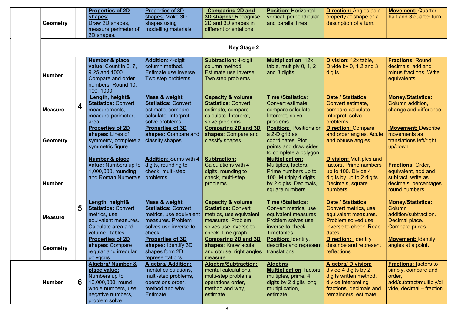| <b>Geometry</b> |        | <b>Properties of 2D</b><br>shapes:<br>Draw 2D shapes,<br>measure perimeter of<br>2D shapes.                                                    | Properties of 3D<br>shapes: Make 3D<br>shapes using<br>modelling materials.                                                    | <b>Comparing 2D and</b><br><b>3D shapes: Recognise</b><br>2D and 3D shapes in<br>different orientations.                                                  | <b>Position: Horizontal,</b><br>vertical, perpendicular<br>and parallel lines                                                               | <b>Direction: Angles as a</b><br>property of shape or a<br>description of a turn.                                                                      | <b>Movement: Quarter,</b><br>half and 3 quarter turn.                                                                  |
|-----------------|--------|------------------------------------------------------------------------------------------------------------------------------------------------|--------------------------------------------------------------------------------------------------------------------------------|-----------------------------------------------------------------------------------------------------------------------------------------------------------|---------------------------------------------------------------------------------------------------------------------------------------------|--------------------------------------------------------------------------------------------------------------------------------------------------------|------------------------------------------------------------------------------------------------------------------------|
|                 |        |                                                                                                                                                |                                                                                                                                | <b>Key Stage 2</b>                                                                                                                                        |                                                                                                                                             |                                                                                                                                                        |                                                                                                                        |
| <b>Number</b>   |        | <b>Number &amp; place</b><br><b>value:</b> Count in 6, 7,<br>9 25 and 1000.<br>Compare and order<br>numbers. Round 10,<br>100, 1000            | <b>Addition: 4-digit</b><br>column method.<br>Estimate use inverse.<br>Two step problems.                                      | <b>Subtraction: 4-digit</b><br>column method.<br>Estimate use inverse.<br>Two step problems.                                                              | <b>Multiplication: 12x</b><br>table, multiply 0, 1, 2<br>and 3 digits.                                                                      | <b>Division: 12x table,</b><br>Divide by $0, 12$ and $3$<br>digits.                                                                                    | <b>Fractions: Round</b><br>decimals, add and<br>minus fractions. Write<br>equivalents.                                 |
| <b>Measure</b>  | 4      | Length, height&<br><b>Statistics: Convert</b><br>measurements,<br>measure perimeter,<br>area.                                                  | Mass & weight<br><b>Statistics: Convert</b><br>estimate, compare<br>calculate. Interpret,<br>solve problems.                   | <b>Capacity &amp; volume</b><br><b>Statistics: Convert</b><br>estimate, compare<br>calculate. Interpret,<br>solve problems.                               | <b>Time /Statistics:</b><br>Convert estimate,<br>compare calculate.<br>Interpret, solve<br>problems.                                        | Date / Statistics:<br>Convert estimate,<br>compare calculate.<br>Interpret, solve<br>problems.                                                         | <b>Money/Statistics:</b><br>Column addition,<br>change and difference.                                                 |
| <b>Geometry</b> |        | <b>Properties of 2D</b><br>shapes: Lines of<br>symmetry, complete a<br>symmetric figure.                                                       | <b>Properties of 3D</b><br>shapes: Compare and<br>classify shapes.                                                             | <b>Comparing 2D and 3D</b><br>shapes: Compare and<br>classify shapes.                                                                                     | <b>Position: Positions on</b><br>a 2-D grid as<br>coordinates. Plot<br>points and draw sides<br>to complete a polygon.                      | <b>Direction: Compare</b><br>and order angles. Acute<br>and obtuse angles.                                                                             | <b>Movement: Describe</b><br>movements as<br>translations left/right<br>up/down.                                       |
| <b>Number</b>   |        | <b>Number &amp; place</b><br>value: Numbers up to<br>1,000,000, rounding<br>and Roman Numerals   problems.                                     | <b>Addition: Sums with 4</b><br>digits, rounding to<br>check, multi-step                                                       | <b>Subtraction:</b><br>Calculations with 4<br>digits, rounding to<br>check, multi-step<br>problems.                                                       | <b>Multiplication:</b><br>Multiples, factors.<br>Prime numbers up to<br>100. Multiply 4 digits<br>by 2 digits. Decimals,<br>square numbers. | <b>Division: Multiples and</b><br>factors. Prime numbers<br>up to 100. Divide 4<br>digits by up to 2 digits.<br>Decimals, square<br>numbers.           | <b>Fractions: Order,</b><br>equivalent, add and<br>subtract, write as<br>decimals, percentages<br>round numbers.       |
| <b>Measure</b>  | 5      | Length, height&<br><b>Statistics: Convert</b><br>metrics, use<br>equivalent measures.<br>Calculate area and<br>volume., tables.                | Mass & weight<br><b>Statistics: Convert</b><br>metrics, use equivalent<br>measures. Problem<br>solves use inverse to<br>check. | <b>Capacity &amp; volume</b><br><b>Statistics: Convert</b><br>metrics, use equivalent<br>measures. Problem<br>solves use inverse to<br>check. Line graph. | <b>Time /Statistics:</b><br>Convert metrics, use<br>equivalent measures.<br>Problem solves use<br>inverse to check.<br>Timetables.          | <b>Date / Statistics:</b><br>Convert metrics, use<br>equivalent measures.<br><b>Problem solved use</b><br>inverse to check. Read<br>dates.             | <b>Money/Statistics:</b><br><b>Column</b><br>addition/subtraction.<br>Decimal place.<br>Compare prices.                |
| <b>Geometry</b> |        | <b>Properties of 2D</b><br>shapes: Compare<br>regular and irregular<br>polygons                                                                | <b>Properties of 3D</b><br>shapes: Identify 3D<br>shapes form 2D<br>representations.                                           | <b>Comparing 2D and 3D</b><br>shapes: Know acute<br>and obtuse, right angles<br>measure                                                                   | <b>Position: Identify,</b><br>describe and represent<br>translations.                                                                       | <b>Direction: Identify</b><br>describe and represent<br>reflections.                                                                                   | <b>Movement: Identify</b><br>angles at a point.                                                                        |
| <b>Number</b>   | $6 \,$ | <b>Algebra/ Number &amp;</b><br>place value:<br>Numbers up to<br>10,000,000, round<br>whole numbers, use<br>negative numbers,<br>problem solve | <b>Algebra/ Addition:</b><br>mental calculations,<br>multi-step problems,<br>operations order,<br>method and why.<br>Estimate. | <b>Algebra/Subtraction:</b><br>mental calculations,<br>multi-step problems,<br>operations order,<br>method and why,<br>estimate.                          | Algebra/<br><b>Multiplication:</b> factors,<br>multiples, prime, 4<br>digits by 2 digits long<br>multiplication,<br>estimate.               | <b>Algebra/ Division:</b><br>divide 4 digits by 2<br>digits written method,<br>divide interpreting<br>fractions, decimals and<br>remainders, estimate. | <b>Fractions: factors to</b><br>simply, compare and<br>order,<br>add/subtract/multiply/di<br>vide, decimal – fraction. |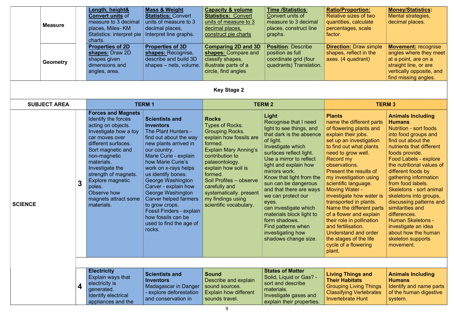|                | <b>Measure</b>      |   | Length, height&<br><b>Convert units of</b><br>measure to 3 decimal<br>places, Miles- KM<br>Statistics: interpret pie<br>charts.                                                                                                                                                                                           | <b>Mass &amp; Weight</b><br><b>Statistics: Convert</b><br>units of measure to 3<br>decimal places,<br>Interpret line graphs.                                                                                                                                                                                                                                                                                                                      | <b>Capacity &amp; volume</b><br><b>Statistics: Convert</b><br>units of measure to 3<br>decimal places,<br>construct pie charts                                                                                                                                                                                               | <b>Time /Statistics:</b><br>Convert units of<br>measure to 3 decimal<br>places, construct line<br>graphs.                                                                                                                                                                                                                                                                                                                                                                       | <b>Ratio/Proportion:</b><br>Relative sizes of two<br>quantities, calculate<br>percentages, scale<br>factor.                                                                                                                                                                                                                                                                                                                                                                                                                                                           | <b>Money/Statistics:</b><br>Mental strategies,<br>decimal places.                                                                                                                                                                                                                                                                                                                                                                                                                                                                |
|----------------|---------------------|---|---------------------------------------------------------------------------------------------------------------------------------------------------------------------------------------------------------------------------------------------------------------------------------------------------------------------------|---------------------------------------------------------------------------------------------------------------------------------------------------------------------------------------------------------------------------------------------------------------------------------------------------------------------------------------------------------------------------------------------------------------------------------------------------|------------------------------------------------------------------------------------------------------------------------------------------------------------------------------------------------------------------------------------------------------------------------------------------------------------------------------|---------------------------------------------------------------------------------------------------------------------------------------------------------------------------------------------------------------------------------------------------------------------------------------------------------------------------------------------------------------------------------------------------------------------------------------------------------------------------------|-----------------------------------------------------------------------------------------------------------------------------------------------------------------------------------------------------------------------------------------------------------------------------------------------------------------------------------------------------------------------------------------------------------------------------------------------------------------------------------------------------------------------------------------------------------------------|----------------------------------------------------------------------------------------------------------------------------------------------------------------------------------------------------------------------------------------------------------------------------------------------------------------------------------------------------------------------------------------------------------------------------------------------------------------------------------------------------------------------------------|
|                | <b>Geometry</b>     |   | <b>Properties of 2D</b><br>shapes: Draw 2D<br>shapes given<br>dimensions and<br>angles, area.                                                                                                                                                                                                                             | <b>Properties of 3D</b><br>shapes: Recognise,<br>describe and build 3D<br>shapes - nets, volume.                                                                                                                                                                                                                                                                                                                                                  | <b>Comparing 2D and 3D</b><br>shapes: Compare and<br>classify shapes,<br>illustrate parts of a<br>circle, find angles                                                                                                                                                                                                        | <b>Position: Describe</b><br>position as full<br>coordinate grid (four<br>quadrants) Translation.                                                                                                                                                                                                                                                                                                                                                                               | <b>Direction: Draw simple</b><br>shapes, reflect in the<br>axes. (4 quadrant)                                                                                                                                                                                                                                                                                                                                                                                                                                                                                         | <b>Movement: recognise</b><br>angles where they meet<br>at a point, are on a<br>straight line, or are<br>vertically opposite, and<br>find missing angles.                                                                                                                                                                                                                                                                                                                                                                        |
|                |                     |   |                                                                                                                                                                                                                                                                                                                           |                                                                                                                                                                                                                                                                                                                                                                                                                                                   | <b>Key Stage 2</b>                                                                                                                                                                                                                                                                                                           |                                                                                                                                                                                                                                                                                                                                                                                                                                                                                 |                                                                                                                                                                                                                                                                                                                                                                                                                                                                                                                                                                       |                                                                                                                                                                                                                                                                                                                                                                                                                                                                                                                                  |
|                | <b>SUBJECT AREA</b> |   |                                                                                                                                                                                                                                                                                                                           | <b>TERM1</b>                                                                                                                                                                                                                                                                                                                                                                                                                                      |                                                                                                                                                                                                                                                                                                                              | <b>TERM 2</b>                                                                                                                                                                                                                                                                                                                                                                                                                                                                   |                                                                                                                                                                                                                                                                                                                                                                                                                                                                                                                                                                       | <b>TERM 3</b>                                                                                                                                                                                                                                                                                                                                                                                                                                                                                                                    |
| <b>SCIENCE</b> |                     | 3 | <b>Forces and Magnets</b><br>Identify the forces<br>acting on objects.<br>Investigate how a toy<br>car moves over<br>different surfaces.<br>Sort magnetic and<br>non-magnetic<br>materials.<br>Investigate the<br>strength of magnets.<br>Explore magnetic<br>poles.<br>Observe how<br>magnets attract some<br>materials. | <b>Scientists and</b><br><b>Inventors</b><br>The Plant Hunters -<br>find out about the way<br>new plants arrived in<br>our country.<br>Marie Curie - explain<br>how Marie Curie's<br>work on x-rays helps<br>us identify bones.<br>George Washington<br>Carver - explain how<br>George Washington<br><b>Carver helped farmers</b><br>to grow crops.<br><b>Fossil Finders - explain</b><br>how fossils can be<br>used to find the age of<br>rocks. | <b>Rocks</b><br>Types of Rocks.<br><b>Grouping Rocks.</b><br>explain how fossils are<br>formed.<br><b>Explain Mary Anning's</b><br>contribution to<br>palaeontology.<br>explain how soil is<br>formed.<br>Soil Profiles - observe<br>carefully and<br>systematically. present<br>my findings using<br>scientific vocabulary. | Light<br>Recognise that I need<br>light to see things, and<br>that dark is the absence<br>of light.<br>Investigate which<br>surfaces reflect light.<br>Use a mirror to reflect<br>light and explain how<br>mirrors work.<br>Know that light from the<br>sun can be dangerous<br>and that there are ways<br>we can protect our<br>eyes.<br>can investigate which<br>materials block light to<br>form shadows.<br>Find patterns when<br>investigating how<br>shadows change size. | <b>Plants</b><br>name the different parts<br>of flowering plants and<br>explain their jobs.<br>set up an investigation<br>to find out what plants<br>need to grow well.<br>Record my<br>observations.<br>Present the results of<br>my investigation using<br>scientific language.<br><b>Moving Water -</b><br>investigate how water is<br>transported in plants.<br>Name the different parts<br>of a flower and explain<br>their role in pollination<br>and fertilisation.<br><b>Understand and order</b><br>the stages of the life<br>cycle of a flowering<br>plant. | <b>Animals Including</b><br><b>Humans</b><br><b>Nutrition - sort foods</b><br>into food groups and<br>find out about the<br>nutrients that different<br>foods provide.<br>Food Labels - explore<br>the nutritional values of<br>different foods by<br>gathering information<br>from food labels.<br>Skeletons - sort animal<br>skeletons into groups,<br>discussing patterns and<br>similarities and<br>differences.<br><b>Human Skeletons -</b><br>investigate an idea<br>about how the human<br>skeleton supports<br>movement. |
|                |                     | 4 | <b>Electricity</b><br>Explain ways that<br>electricity is<br>generated.<br>Identify electrical<br>appliances and the                                                                                                                                                                                                      | <b>Scientists and</b><br><b>Inventors</b><br>Madagascar in Danger<br>explore deforestation<br>and conservation in                                                                                                                                                                                                                                                                                                                                 | <b>Sound</b><br>Describe and explain<br>sound sources.<br><b>Explain how different</b><br>sounds travel.                                                                                                                                                                                                                     | <b>States of Matter</b><br>Solid, Liquid or Gas? -<br>sort and describe<br>materials.<br>Investigate gases and<br>explain their properties.                                                                                                                                                                                                                                                                                                                                     | <b>Living Things and</b><br><b>Their Habitats</b><br><b>Grouping Living Things</b><br><b>Classifying Vertebrates</b><br><b>Invertebrate Hunt</b>                                                                                                                                                                                                                                                                                                                                                                                                                      | <b>Animals Including</b><br><b>Humans</b><br>Identify and name parts<br>of the human digestive<br>system.                                                                                                                                                                                                                                                                                                                                                                                                                        |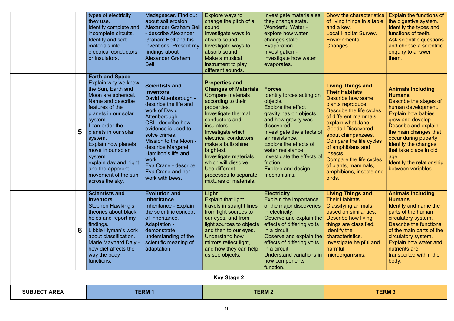| <b>SUBJECT AREA</b> |   |                                                                                                                                                                                                                                                                                                                                                                                  | <b>TERM1</b>                                                                                                                                                                                                                                                                                                                             |                                                                                                                                                                                                                                                                                                                                                                                     | <b>TERM 2</b>                                                                                                                                                                                                                                                                                                                |                                                                                                                                                                                                                                                                                                                                                                             | <b>TERM 3</b>                                                                                                                                                                                                                                                                                                                             |
|---------------------|---|----------------------------------------------------------------------------------------------------------------------------------------------------------------------------------------------------------------------------------------------------------------------------------------------------------------------------------------------------------------------------------|------------------------------------------------------------------------------------------------------------------------------------------------------------------------------------------------------------------------------------------------------------------------------------------------------------------------------------------|-------------------------------------------------------------------------------------------------------------------------------------------------------------------------------------------------------------------------------------------------------------------------------------------------------------------------------------------------------------------------------------|------------------------------------------------------------------------------------------------------------------------------------------------------------------------------------------------------------------------------------------------------------------------------------------------------------------------------|-----------------------------------------------------------------------------------------------------------------------------------------------------------------------------------------------------------------------------------------------------------------------------------------------------------------------------------------------------------------------------|-------------------------------------------------------------------------------------------------------------------------------------------------------------------------------------------------------------------------------------------------------------------------------------------------------------------------------------------|
|                     |   |                                                                                                                                                                                                                                                                                                                                                                                  |                                                                                                                                                                                                                                                                                                                                          | <b>Key Stage 2</b>                                                                                                                                                                                                                                                                                                                                                                  |                                                                                                                                                                                                                                                                                                                              |                                                                                                                                                                                                                                                                                                                                                                             |                                                                                                                                                                                                                                                                                                                                           |
|                     | 6 | <b>Scientists and</b><br><b>Inventors</b><br><b>Stephen Hawking's</b><br>theories about black<br>holes and report my<br>findings.<br>Libbie Hyman's work<br>about classification.<br><b>Marie Maynard Daly -</b><br>how diet affects the<br>way the body<br>functions.                                                                                                           | <b>Evolution and</b><br><b>Inheritance</b><br>Inheritance - Explain<br>the scientific concept<br>of inheritance.<br>Adaptation -<br>demonstrate<br>understanding of the<br>scientific meaning of<br>adaptation.                                                                                                                          | Light<br><b>Explain that light</b><br>travels in straight lines<br>from light sources to<br>our eyes, and from<br>light sources to objects<br>and then to our eyes.<br>Understand how<br>mirrors reflect light,<br>and how they can help<br>us see objects.                                                                                                                         | <b>Electricity</b><br><b>Explain the importance</b><br>of the major discoveries<br>in electricity.<br>Observe and explain the<br>effects of differing volts<br>in a circuit.<br>Observe and explain the<br>effects of differing volts<br>in a circuit.<br>Understand variations in<br>how components<br>function.            | <b>Living Things and</b><br><b>Their Habitats</b><br><b>Classifying animals</b><br>based on similarities.<br>Describe how living<br>things are classified.<br>Identify the<br>characteristics.<br>Investigate helpful and<br>harmful<br>microorganisms.                                                                                                                     | <b>Animals Including</b><br><b>Humans</b><br>Identify and name the<br>parts of the human<br>circulatory system.<br>Describe the functions<br>of the main parts of the<br>circulatory system.<br>Explain how water and<br>nutrients are<br>transported within the<br>body.                                                                 |
|                     | 5 | <b>Earth and Space</b><br>Explain why we know<br>the Sun, Earth and<br>Moon are spherical.<br>Name and describe<br>features of the<br>planets in our solar<br>system.<br>I can order the<br>planets in our solar<br>system.<br><b>Explain how planets</b><br>move in our solar<br>system.<br>explain day and night<br>and the apparent<br>movement of the sun<br>across the sky. | <b>Scientists and</b><br><b>Inventors</b><br>David Attenborough -<br>describe the life and<br>work of David<br>Attenborough.<br>CSI - describe how<br>evidence is used to<br>solve crimes.<br>Mission to the Moon -<br>describe Margaret<br>Hamilton's life and<br>work.<br>Eva Crane - describe<br>Eva Crane and her<br>work with bees. | <b>Properties and</b><br><b>Changes of Materials</b><br><b>Compare materials</b><br>according to their<br>properties.<br>Investigate thermal<br>conductors and<br>insulators.<br>Investigate which<br>electrical conductors<br>make a bulb shine<br>brightest.<br>Investigate materials<br>which will dissolve.<br>Use different<br>processes to separate<br>mixtures of materials. | <b>Forces</b><br>Identify forces acting on<br>objects.<br>Explore the effect<br>gravity has on objects<br>and how gravity was<br>discovered.<br>Investigate the effects of<br>air resistance.<br>Explore the effects of<br>water resistance.<br>Investigate the effects of<br>friction.<br>Explore and design<br>mechanisms. | <b>Living Things and</b><br><b>Their Habitats</b><br>Describe how some<br>plants reproduce.<br>Describe the life cycles<br>of different mammals.<br>explain what Jane<br><b>Goodall Discovered</b><br>about chimpanzees.<br>Compare the life cycles<br>of amphibians and<br>insects.<br>Compare the life cycles<br>of plants, mammals,<br>amphibians, insects and<br>birds. | <b>Animals Including</b><br><b>Humans</b><br>Describe the stages of<br>human development.<br><b>Explain how babies</b><br>grow and develop.<br><b>Describe and explain</b><br>the main changes that<br>occur during puberty.<br>Identify the changes<br>that take place in old<br>age.<br>Identify the relationship<br>between variables. |
|                     |   | types of electricity<br>they use.<br>Identify complete and<br>incomplete circuits.<br>Identify and sort<br>materials into<br>electrical conductors<br>or insulators.                                                                                                                                                                                                             | Madagascar. Find out<br>about soil erosion.<br><b>Alexander Graham Bell</b><br>- describe Alexander<br><b>Graham Bell and his</b><br>inventions. Present my<br>findings about<br><b>Alexander Graham</b><br>Bell.                                                                                                                        | Explore ways to<br>change the pitch of a<br>sound.<br>Investigate ways to<br>absorb sound.<br>Investigate ways to<br>absorb sound.<br>Make a musical<br>instrument to play<br>different sounds.                                                                                                                                                                                     | Investigate materials as<br>they change state.<br><b>Wonderful Water -</b><br>explore how water<br>changes state.<br>Evaporation<br>Investigation -<br>investigate how water<br>evaporates.                                                                                                                                  | Show the characteristics<br>of living things in a table<br>and a key.<br><b>Local Habitat Survey.</b><br>Environmental<br>Changes.                                                                                                                                                                                                                                          | <b>Explain the functions of</b><br>the digestive system.<br>Identify the types and<br>functions of teeth.<br>Ask scientific questions<br>and choose a scientific<br>enquiry to answer<br>them.                                                                                                                                            |
|                     |   |                                                                                                                                                                                                                                                                                                                                                                                  |                                                                                                                                                                                                                                                                                                                                          |                                                                                                                                                                                                                                                                                                                                                                                     |                                                                                                                                                                                                                                                                                                                              |                                                                                                                                                                                                                                                                                                                                                                             |                                                                                                                                                                                                                                                                                                                                           |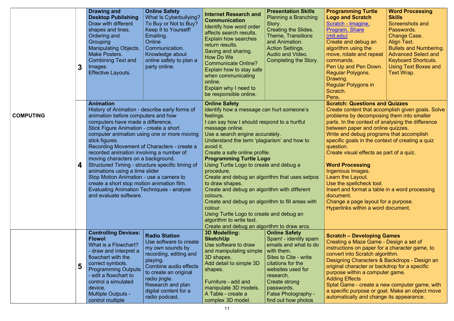|                  | 3 | <b>Drawing and</b><br><b>Desktop Publishing</b><br>Draw with different<br>shapes and lines.<br>Ordering and<br><b>Grouping</b><br><b>Manipulating Objects.</b><br>Make Posters.<br><b>Combining Text and</b><br>Images.<br><b>Effective Layouts.</b>                                                                                                                                                                                                                                                                                                 | <b>Online Safety</b><br>What Is Cyberbullying?<br>To Buy or Not to Buy?<br>Keep It to Yourself!<br>Emailing.<br>Online<br>Communication.<br>Knowledge about<br>online safety to plan a<br>party online.                                     | <b>Internet Research and</b><br><b>Communication</b><br>Identify how word order<br>affects search results.<br><b>Explain how searches</b><br>return results.<br>Saving and sharing.<br>How Do We<br><b>Communicate Online?</b><br>Explain how to stay safe<br>when communicating<br>online.<br>Explain why I need to<br>be responsible online.                                                                                                                                                                                                                                                                                                                                                     | <b>Presentation Skills</b><br><b>Planning a Branching</b><br>Story.<br><b>Creating the Slides.</b><br><b>Theme, Transitions</b><br>and Animation.<br><b>Action Settings.</b><br>Audio and Video.<br><b>Completing the Story.</b>           | <b>Programming Turtle</b><br><b>Logo and Scratch</b><br>Scratch - Imagine,<br><b>Program, Share</b><br>(mit.edu)<br>Create and debug an<br>algorithm using the<br>move, rotate and repeat<br>commands.<br>Pen Up and Pen Down.<br>Regular Polygons.<br>Drawing.<br><b>Regular Polygons in</b><br>Scratch.<br>Pens.                                                                                                                                                                                                                                                                | <b>Word Processing</b><br><b>Skills</b><br><b>Screenshots and</b><br>Passwords.<br><b>Change Case.</b><br><b>Align Text.</b><br><b>Bullets and Numbering.</b><br><b>Advanced Select and</b><br><b>Keyboard Shortcuts.</b><br><b>Using Text Boxes and</b><br>Text Wrap. |
|------------------|---|------------------------------------------------------------------------------------------------------------------------------------------------------------------------------------------------------------------------------------------------------------------------------------------------------------------------------------------------------------------------------------------------------------------------------------------------------------------------------------------------------------------------------------------------------|---------------------------------------------------------------------------------------------------------------------------------------------------------------------------------------------------------------------------------------------|----------------------------------------------------------------------------------------------------------------------------------------------------------------------------------------------------------------------------------------------------------------------------------------------------------------------------------------------------------------------------------------------------------------------------------------------------------------------------------------------------------------------------------------------------------------------------------------------------------------------------------------------------------------------------------------------------|--------------------------------------------------------------------------------------------------------------------------------------------------------------------------------------------------------------------------------------------|-----------------------------------------------------------------------------------------------------------------------------------------------------------------------------------------------------------------------------------------------------------------------------------------------------------------------------------------------------------------------------------------------------------------------------------------------------------------------------------------------------------------------------------------------------------------------------------|------------------------------------------------------------------------------------------------------------------------------------------------------------------------------------------------------------------------------------------------------------------------|
| <b>COMPUTING</b> | 4 | <b>Animation</b><br>History of Animation - describe early forms of<br>animation before computers and how<br>computers have made a difference.<br>Stick Figure Animation - create a short<br>stick figures.<br>Recording Movement of Characters - create a<br>recorded animation involving a number of<br>moving characters on a background.<br>animations using a time slider<br>Stop Motion Animation - use a camera to<br>create a short stop motion animation film.<br><b>Evaluating Animation Techniques - analyse</b><br>and evaluate software. | computer animation using one or more moving<br>Structured Timing - structure specific timing of                                                                                                                                             | <b>Online Safety</b><br>identify how a message can hurt someone's<br>feelings.<br>I can say how I should respond to a hurtful<br>message online.<br>Use a search engine accurately.<br>Understand the term 'plagiarism' and how to<br>avoid it.<br>Create a safe online profile.<br><b>Programming Turtle Logo</b><br>Using Turtle Logo to create and debug a<br>procedure.<br>Create and debug an algorithm that uses setpos<br>to draw shapes.<br>Create and debug an algorithm with different<br>colours.<br>Create and debug an algorithm to fill areas with<br>colour.<br>Using Turtle Logo to create and debug an<br>algorithm to write text.<br>Create and debug an algorithm to draw arcs. |                                                                                                                                                                                                                                            | <b>Scratch: Questions and Quizzes</b><br>problems by decomposing them into smaller<br>parts. In the context of analysing the difference<br>between paper and online quizzes.<br>Write and debug programs that accomplish<br>specific goals in the context of creating a quiz<br>question.<br>Create visual effects as part of a quiz.<br><b>Word Processing</b><br>Ingenious Images.<br>Learn the Layout.<br>Use the spellcheck tool.<br>Insert and format a table in a word processing<br>document.<br>Change a page layout for a purpose.<br>Hyperlinks within a word document. | Create content that accomplish given goals. Solve                                                                                                                                                                                                                      |
|                  | 5 | <b>Controlling Devices:</b><br><b>Flowol</b><br>What is a Flowchart?<br>- draw and interpret a<br>flowchart with the<br>correct symbols.<br><b>Programming Outputs</b><br>edit a flowchart to<br>control a simulated<br>device.<br><b>Multiple Outputs -</b><br>control multiple                                                                                                                                                                                                                                                                     | <b>Radio Station</b><br>Use software to create<br>my own sounds by<br>recording, editing and<br>playing.<br>Combine audio effects<br>to create an original<br>radio jingle.<br>Research and plan<br>digital content for a<br>radio podcast. | <b>3D Modelling:</b><br><b>SketchUp</b><br>Use software to draw<br>and manipulating simple $\vert$ with them.<br>3D shapes.<br>Add detail to simple 3D<br>shapes.<br>Furniture - add and<br>manipulate 3D models.<br>A Table - create a<br>complex 3D model.                                                                                                                                                                                                                                                                                                                                                                                                                                       | <b>Online Safety</b><br>Spam! - identify spam<br>emails and what to do<br>Sites to Cite - write<br>citations for the<br>websites used for<br>research.<br>Create strong<br>passwords.<br><b>False Photography -</b><br>find out how photos | <b>Scratch - Developing Games</b><br>Creating a Maze Game - Design a set of<br>instructions on paper for a character game, to<br>convert into Scratch algorithm.<br>Designing Characters & Backdrops - Design an<br>original character or backdrop for a specific<br>purpose within a computer game.<br><b>Adding Effects</b><br>Splat Game - create a new computer game, with<br>a specific purpose or goal. Make an object move<br>automatically and change its appearance.                                                                                                     |                                                                                                                                                                                                                                                                        |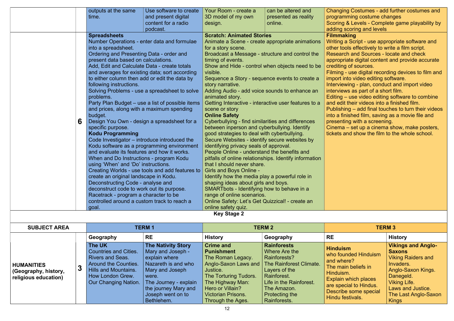ing Costumes - add further costumes and mming costume changes

g & Levels - Complete game playability by scoring and levels

### aking

a Script - use appropriate software and ools effectively to write a film script.

rch and Sources - locate and check

riate digital content and provide accurate ng of sources.

 $\overline{a}$  - use digital recording devices to film and  $\frac{1}{2}$  into video editing software.

ewing - plan, conduct and import video  $\frac{1}{2}$ ws as part of a short film.

 $-$  use video editing software to combine  $\overline{\mathsf{a}}$  it their videos into a finished film.

 $n$ ing – add final touches to turn their videos inished film, saving as a movie file and  $n$  ting with a screening.

|                                             | outputs at the same                           | Use software to create                                                                                   | Your Room - create a                                        | can be altered and   | Changi                   |  |
|---------------------------------------------|-----------------------------------------------|----------------------------------------------------------------------------------------------------------|-------------------------------------------------------------|----------------------|--------------------------|--|
|                                             | time.                                         | and present digital                                                                                      | 3D model of my own                                          | presented as reality | progra                   |  |
|                                             |                                               | content for a radio                                                                                      | design.                                                     | online.              | Scoring                  |  |
|                                             |                                               | podcast.                                                                                                 |                                                             |                      | adding                   |  |
|                                             | <b>Spreadsheets</b>                           |                                                                                                          | <b>Scratch: Animated Stories</b>                            |                      | Filmm                    |  |
|                                             | Number Operations - enter data and formulae   |                                                                                                          | Animate a Scene - create appropriate animations             |                      | Writing                  |  |
|                                             | into a spreadsheet.                           |                                                                                                          | for a story scene.                                          |                      | other to                 |  |
|                                             | Ordering and Presenting Data - order and      |                                                                                                          | Broadcast a Message - structure and control the             |                      | <b>Resear</b>            |  |
|                                             | present data based on calculations.           |                                                                                                          | timing of events.                                           |                      | approp                   |  |
|                                             | Add, Edit and Calculate Data - create totals  |                                                                                                          | Show and Hide - control when objects need to be<br>visible. | creditin             |                          |  |
|                                             | to either column then add or edit the data by | and averages for existing data; sort according                                                           | Sequence a Story - sequence events to create a              |                      | Filming<br>import        |  |
|                                             | following instructions.                       |                                                                                                          | story narrative.                                            |                      | Intervie                 |  |
|                                             |                                               | Solving Problems - use a spreadsheet to solve                                                            | Adding Audio - add voice sounds to enhance an               |                      | intervie                 |  |
|                                             | problems.                                     |                                                                                                          | animated story.                                             |                      | <b>Editing</b>           |  |
|                                             |                                               | Party Plan Budget – use a list of possible items<br>Getting Interactive - interactive user features to a |                                                             |                      |                          |  |
|                                             | and prices, along with a maximum spending     |                                                                                                          | scene or story                                              |                      | and ed<br><b>Publish</b> |  |
|                                             | budget.                                       |                                                                                                          | <b>Online Safety</b>                                        |                      | into a f                 |  |
| 6                                           | Design You Own - design a spreadsheet for a   |                                                                                                          | Cyberbullying - find similarities and differences           | presen               |                          |  |
|                                             | specific purpose.                             |                                                                                                          | between inperson and cyberbullying. Identify                |                      | Cinema                   |  |
|                                             | <b>Kodu Programming</b>                       |                                                                                                          | good strategies to deal with cyberbullying.                 |                      | tickets                  |  |
|                                             | Code Investigator – introduce introduced the  |                                                                                                          | Secure Websites - identify secure websites by               |                      |                          |  |
|                                             |                                               | Kodu software as a programming environment                                                               | identifying privacy seals of approval.                      |                      |                          |  |
|                                             | and evaluate its features and how it works.   |                                                                                                          | People Online - understand the benefits and                 |                      |                          |  |
|                                             | When and Do Instructions - program Kodu       |                                                                                                          | pitfalls of online relationships. Identify information      |                      |                          |  |
|                                             | using 'When' and 'Do' instructions.           |                                                                                                          | that I should never share.                                  |                      |                          |  |
|                                             |                                               | Creating Worlds - use tools and add features to                                                          | <b>Girls and Boys Online -</b>                              |                      |                          |  |
|                                             | create an original landscape in Kodu.         |                                                                                                          | Identify how the media play a powerful role in              |                      |                          |  |
|                                             | Deconstructing Code - analyse and             |                                                                                                          | shaping ideas about girls and boys.                         |                      |                          |  |
|                                             | deconstruct code to work out its purpose.     |                                                                                                          | SMARTbots - Identifying how to behave in a                  |                      |                          |  |
|                                             | Racetrack - program a character to be         |                                                                                                          | range of online scenarios.                                  |                      |                          |  |
| controlled around a custom track to reach a |                                               |                                                                                                          | Online Safety: Let's Get Quizzical! - create an             |                      |                          |  |
|                                             | goal.                                         |                                                                                                          | online safety quiz.                                         |                      |                          |  |
|                                             |                                               |                                                                                                          | <b>Key Stage 2</b>                                          |                      |                          |  |

Cinema – set up a cinema show, make posters, tickets and show the film to the whole school.

| <b>SUBJECT AREA</b>                                                    |  | <b>TERM1</b>                                                                                                                                                      |                                                                                                                                                                                  | <b>TERM 2</b>                                                                                                                                                         |                                                                                                                                                                                                    | <b>TERM 3</b>                                                                                                                                                                                   |                                                                                                                                                                         |
|------------------------------------------------------------------------|--|-------------------------------------------------------------------------------------------------------------------------------------------------------------------|----------------------------------------------------------------------------------------------------------------------------------------------------------------------------------|-----------------------------------------------------------------------------------------------------------------------------------------------------------------------|----------------------------------------------------------------------------------------------------------------------------------------------------------------------------------------------------|-------------------------------------------------------------------------------------------------------------------------------------------------------------------------------------------------|-------------------------------------------------------------------------------------------------------------------------------------------------------------------------|
|                                                                        |  | Geography<br>The UK                                                                                                                                               | <b>RE</b><br><b>The Nativity Story</b>                                                                                                                                           | <b>History</b><br><b>Crime and</b>                                                                                                                                    | Geography<br><b>Rainforests</b>                                                                                                                                                                    | <b>RE</b>                                                                                                                                                                                       | <b>History</b><br><b>Vikings and Anglo-</b>                                                                                                                             |
| <b>HUMANITIES</b><br>N<br>(Geography, history,<br>religious education) |  | <b>Countries and Cities.</b><br><b>Rivers and Seas.</b><br><b>Around the Counties.</b><br><b>Hills and Mountains.</b><br>How London Grew.<br>Our Changing Nation. | <b>Mary and Joseph -</b><br>explain where<br>Nazareth is and who<br>Mary and Joseph<br>were.<br>The Journey - explain<br>the journey Mary and<br>Joseph went on to<br>Bethlehem. | <b>Punishment</b><br>The Roman Legacy.<br>Justice.<br>The Torturing Tudors.<br>The Highway Man:<br>Hero or Villain?<br><b>Victorian Prisons.</b><br>Through the Ages. | Where Are the<br><b>Rainforests?</b><br>Anglo-Saxon Laws and   The Rainforest Climate.<br>Layers of the<br>Rainforest.<br>Life in the Rainforest.<br>The Amazon.<br>Protecting the<br>Rainforests. | <b>Hinduism</b><br>who founded Hinduism<br>and where?<br>The main beliefs in<br>Hinduism.<br><b>Explain which places</b><br>are special to Hindus.<br>Describe some special<br>Hindu festivals. | <b>Saxons</b><br><b>Viking Raiders and</b><br>Invaders.<br>Anglo-Saxon Kings.<br>Danegeld.<br><b>Viking Life.</b><br>Laws and Justice.<br>The Last Anglo-Saxon<br>Kings |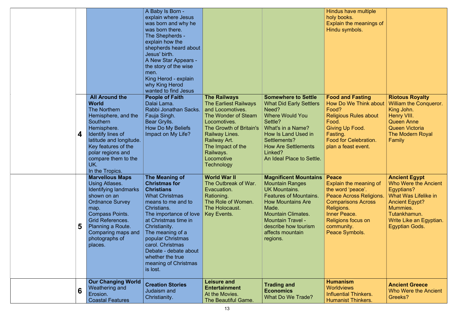|   |                                                                                                                                                                                                                                                             | A Baby Is Born -<br>explain where Jesus<br>was born and why he<br>was born there.<br>The Shepherds -<br>explain how the<br>shepherds heard about<br>Jesus' birth.<br>A New Star Appears -<br>the story of the wise<br>men.<br>King Herod - explain<br>why King Herod                                                                       |                                                                                                                                                                                                                                                  |                                                                                                                                                                                                                                                                       | Hindus have multiple<br>holy books.<br>Explain the meanings of<br>Hindu symbols.                                                                                                                        |                                                                                                                                                                                                    |
|---|-------------------------------------------------------------------------------------------------------------------------------------------------------------------------------------------------------------------------------------------------------------|--------------------------------------------------------------------------------------------------------------------------------------------------------------------------------------------------------------------------------------------------------------------------------------------------------------------------------------------|--------------------------------------------------------------------------------------------------------------------------------------------------------------------------------------------------------------------------------------------------|-----------------------------------------------------------------------------------------------------------------------------------------------------------------------------------------------------------------------------------------------------------------------|---------------------------------------------------------------------------------------------------------------------------------------------------------------------------------------------------------|----------------------------------------------------------------------------------------------------------------------------------------------------------------------------------------------------|
| 4 | <b>All Around the</b><br><b>World</b><br><b>The Northern</b><br>Hemisphere, and the<br>Southern<br>Hemisphere.<br>Identify lines of<br>latitude and longitude.<br>Key features of the<br>polar regions and<br>compare them to the<br>UK.<br>In the Tropics. | wanted to find Jesus<br><b>People of Faith</b><br>Dalai Lama.<br>Rabbi Jonathan Sacks.<br>Fauja Singh.<br>Bear Grylls.<br>How Do My Beliefs<br>Impact on My Life?                                                                                                                                                                          | <b>The Railways</b><br><b>The Earliest Railways</b><br>and Locomotives.<br>The Wonder of Steam<br>Locomotives.<br>The Growth of Britain's<br>Railway Lines.<br>Railway Art.<br>The Impact of the<br>Railways.<br>Locomotive<br><b>Technology</b> | <b>Somewhere to Settle</b><br><b>What Did Early Settlers</b><br>Need?<br>Where Would You<br>Settle?<br>What's in a Name?<br>How Is Land Used in<br>Settlements?<br><b>How Are Settlements</b><br>Linked?<br>An Ideal Place to Settle.                                 | <b>Food and Fasting</b><br><b>How Do We Think about</b><br>Food?<br><b>Religious Rules about</b><br>Food.<br>Giving Up Food.<br>Fasting.<br><b>Food for Celebration.</b><br>plan a feast event.         | <b>Riotous Royalty</b><br><b>William the Conqueror.</b><br>King John.<br>Henry VIII.<br><b>Queen Anne</b><br><b>Queen Victoria</b><br><b>The Modern Royal</b><br>Family                            |
| 5 | <b>Marvellous Maps</b><br><b>Using Atlases.</b><br>Identifying landmarks<br>shown on an<br><b>Ordnance Survey</b><br>map.<br><b>Compass Points.</b><br><b>Grid References.</b><br>Planning a Route.<br>Comparing maps and<br>photographs of<br>places.      | The Meaning of<br><b>Christmas for</b><br><b>Christians</b><br><b>What Christmas</b><br>means to me and to<br>Christians.<br>The importance of love<br>at Christmas time in<br>Christianity.<br>The meaning of a<br>popular Christmas<br>carol. Christmas<br>Debate - debate about<br>whether the true<br>meaning of Christmas<br>is lost. | <b>World War II</b><br>The Outbreak of War.<br>Evacuation.<br>Rationing.<br>The Role of Women.<br>The Holocaust.<br>Key Events.                                                                                                                  | <b>Magnificent Mountains</b><br><b>Mountain Ranges</b><br><b>UK Mountains.</b><br><b>Features of Mountains.</b><br><b>How Mountains Are</b><br>Made.<br><b>Mountain Climates.</b><br><b>Mountain Travel -</b><br>describe how tourism<br>affects mountain<br>regions. | <b>Peace</b><br>Explain the meaning of<br>the word 'peace'.<br>Peace Across Religions.<br><b>Comparisons Across</b><br>Religions.<br>Inner Peace.<br>Religions focus on<br>community.<br>Peace Symbols. | <b>Ancient Egypt</b><br>Who Were the Ancient<br>Egyptians?<br><b>What Was Lifelike in</b><br><b>Ancient Egypt?</b><br>Mummies.<br>Tutankhamun.<br>Write Like an Egyptian.<br><b>Egyptian Gods.</b> |
| 6 | <b>Our Changing World</b><br>Weathering and<br>Erosion.<br><b>Coastal Features</b>                                                                                                                                                                          | <b>Creation Stories</b><br><b>Judaism and</b><br>Christianity.                                                                                                                                                                                                                                                                             | <b>Leisure and</b><br><b>Entertainment</b><br>At the Movies.<br>The Beautiful Game.                                                                                                                                                              | <b>Trading and</b><br><b>Economics</b><br>What Do We Trade?                                                                                                                                                                                                           | <b>Humanism</b><br><b>Worldviews</b><br><b>Influential Thinkers.</b><br><b>Humanist Thinkers.</b>                                                                                                       | <b>Ancient Greece</b><br><b>Who Were the Ancient</b><br>Greeks?                                                                                                                                    |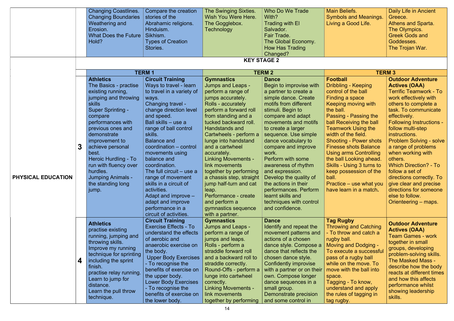|                    |   | <b>Changing Coastlines.</b><br><b>Changing Boundaries</b><br>Weathering and<br>Erosion.<br><b>What Does the Future</b><br>Hold?                                                                                                                                                                                                                                               | Compare the creation<br>stories of the<br>Abrahamic religions.<br>Hinduism.<br>Sikhism.<br><b>Types of Creation</b><br>Stories.                                                                                                                                                                                                                                                                                                                                                                          | The Swinging Sixties.<br>Wish You Were Here.<br>The Gogglebox.<br>Technology                                                                                                                                                                                                                                                                                                                                                                                                                   | Who Do We Trade<br>With?<br><b>Trading with El</b><br>Salvador.<br>Fair Trade.<br>The Global Economy.<br><b>How Has Trading</b><br>Changed?                                                                                                                                                                                                                                                                                                                                                                                            | <b>Main Beliefs.</b><br><b>Symbols and Meanings.</b><br>Living a Good Life.                                                                                                                                                                                                                                                                                                                                                                                                    | Daily Life in Ancient<br>Greece.<br><b>Athens and Sparta.</b><br>The Olympics.<br><b>Greek Gods and</b><br>Goddesses.<br>The Trojan War.                                                                                                                                                                                                                                                                                                                                                                                   |
|--------------------|---|-------------------------------------------------------------------------------------------------------------------------------------------------------------------------------------------------------------------------------------------------------------------------------------------------------------------------------------------------------------------------------|----------------------------------------------------------------------------------------------------------------------------------------------------------------------------------------------------------------------------------------------------------------------------------------------------------------------------------------------------------------------------------------------------------------------------------------------------------------------------------------------------------|------------------------------------------------------------------------------------------------------------------------------------------------------------------------------------------------------------------------------------------------------------------------------------------------------------------------------------------------------------------------------------------------------------------------------------------------------------------------------------------------|----------------------------------------------------------------------------------------------------------------------------------------------------------------------------------------------------------------------------------------------------------------------------------------------------------------------------------------------------------------------------------------------------------------------------------------------------------------------------------------------------------------------------------------|--------------------------------------------------------------------------------------------------------------------------------------------------------------------------------------------------------------------------------------------------------------------------------------------------------------------------------------------------------------------------------------------------------------------------------------------------------------------------------|----------------------------------------------------------------------------------------------------------------------------------------------------------------------------------------------------------------------------------------------------------------------------------------------------------------------------------------------------------------------------------------------------------------------------------------------------------------------------------------------------------------------------|
|                    |   |                                                                                                                                                                                                                                                                                                                                                                               |                                                                                                                                                                                                                                                                                                                                                                                                                                                                                                          |                                                                                                                                                                                                                                                                                                                                                                                                                                                                                                | <b>KEY STAGE 2</b>                                                                                                                                                                                                                                                                                                                                                                                                                                                                                                                     |                                                                                                                                                                                                                                                                                                                                                                                                                                                                                |                                                                                                                                                                                                                                                                                                                                                                                                                                                                                                                            |
|                    |   |                                                                                                                                                                                                                                                                                                                                                                               | <b>TERM1</b>                                                                                                                                                                                                                                                                                                                                                                                                                                                                                             |                                                                                                                                                                                                                                                                                                                                                                                                                                                                                                | <b>TERM 2</b>                                                                                                                                                                                                                                                                                                                                                                                                                                                                                                                          |                                                                                                                                                                                                                                                                                                                                                                                                                                                                                | <b>TERM 3</b>                                                                                                                                                                                                                                                                                                                                                                                                                                                                                                              |
| PHYSICAL EDUCATION | 3 | <b>Athletics</b><br>The Basics - practise<br>existing running,<br>jumping and throwing<br><b>skills</b><br><b>Super Sprinting -</b><br>compare<br>performances with<br>previous ones and<br>demonstrate<br>improvement to<br>achieve personal<br>best.<br>Heroic Hurdling - To<br>run with fluency over<br>hurdles.<br><b>Jumping Animals -</b><br>the standing long<br>jump. | <b>Circuit Training</b><br>Ways to travel - learn<br>to travel in a variety of<br>ways.<br>Changing travel -<br>change direction level<br>and speed.<br>Ball skills – use a<br>range of ball control<br>skills.<br><b>Balance and</b><br>coordination – control<br>movements using<br>balance and<br>coordination.<br>The full circuit $-$ use a<br>range of movement<br>skills in a circuit of<br>activities.<br>Adapt and improve -<br>adapt and improve<br>performance in a<br>circuit of activities. | <b>Gymnastics</b><br><b>Jumps and Leaps -</b><br>perform a range of<br>jumps accurately.<br>Rolls - accurately<br>perform a forward roll<br>from standing and a<br>tucked backward roll.<br>Handstands and<br>Cartwheels - perform a<br>lunge into handstand<br>and a cartwheel<br>accurately.<br><b>Linking Movements -</b><br>link movements<br>together by performing<br>jump half-turn and cat<br>leap.<br>Performance - create<br>and perform a<br>gymnastics sequence<br>with a partner. | <b>Dance</b><br>Begin to improvise with<br>a partner to create a<br>simple dance. Create<br>motifs from different<br>stimuli. Begin to<br>compare and adapt<br>movements and motifs<br>to create a larger<br>sequence. Use simple<br>dance vocabulary to<br>compare and improve<br>work.<br>Perform with some<br>awareness of rhythm<br>and expression.<br>a chassis step, straight $\vert$ Develop the quality of<br>the actions in their<br>performances. Perform<br>learnt skills and<br>techniques with control<br>and confidence. | <b>Football</b><br>Dribbling - Keeping<br>control of the ball<br>Finding a space<br>Keeping moving with<br>the ball.<br>Passing - Passing the<br>ball Receiving the ball<br><b>Teamwork Using the</b><br>width of the field.<br><b>Shooting - Power shots</b><br><b>Finesse shots Balance</b><br><b>Using arms Controlling</b><br>the ball Looking ahead.<br>Skills - Using 3 turns to<br>keep possession of the<br>ball.<br>Practice – use what you<br>have learn in a match. | <b>Outdoor Adventure</b><br><b>Actives (OAA)</b><br><b>Terrific Teamwork - To</b><br>work effectively with<br>others to complete a<br>task. To communicate<br>effectively.<br><b>Following Instructions -</b><br>follow multi-step<br>instructions.<br><b>Problem Solving - solve</b><br>a range of problems<br>when working with<br>others.<br><b>Which Direction? - To</b><br>follow a set of<br>directions correctly. To<br>give clear and precise<br>directions for someone<br>else to follow.<br>Orienteering – maps. |
|                    | 4 | <b>Athletics</b><br>practise existing<br>running, jumping and<br>throwing skills.<br>Improve my running<br>technique for sprinting<br>including the sprint<br>finish.<br>practise relay running.<br>Learn to jump for<br>distance.<br>Learn the pull throw<br>technique.                                                                                                      | <b>Circuit Training</b><br><b>Exercise Effects - To</b><br>understand the effects<br>of aerobic and<br>anaerobic exercise on<br>the body.<br><b>Upper Body Exercises</b><br>To recognise the<br>benefits of exercise on<br>the upper body.<br><b>Lower Body Exercises</b><br>- To recognise the<br>benefits of exercise on<br>the lower body.                                                                                                                                                            | <b>Gymnastics</b><br><b>Jumps and Leaps -</b><br>perform a range of<br>jumps and leaps.<br>Rolls - perform a<br>straddle forward roll<br>and a backward roll to<br>straddle correctly.<br>Round-Offs - perform a<br>lunge into cartwheel<br>correctly.<br><b>Linking Movements -</b><br>link movements<br>together by performing                                                                                                                                                               | <b>Dance</b><br>Identify and repeat the<br>movement patterns and<br>actions of a chosen<br>dance style. Compose a<br>dance that reflects the<br>chosen dance style.<br>Confidently improvise<br>with a partner or on their<br>own. Compose longer<br>dance sequences in a<br>small group.<br>Demonstrate precision<br>and some control in                                                                                                                                                                                              | <b>Tag Rugby</b><br><b>Throwing and Catching</b><br>- To throw and catch a<br>rugby ball.<br>Moving and Dodging -<br>To execute a successful<br>pass of a rugby ball<br>while on the move. To<br>move with the ball into<br>space.<br>Tagging - To know,<br>understand and apply<br>the rules of tagging in<br>tag rugby.                                                                                                                                                      | <b>Outdoor Adventure</b><br><b>Actives (OAA)</b><br><b>Team Games - work</b><br>together in small<br>groups, developing<br>problem-solving skills.<br><b>The Masked Mass -</b><br>describe how the body<br>reacts at different times<br>and how this affects<br>performance whilst<br>showing leadership<br>skills.                                                                                                                                                                                                        |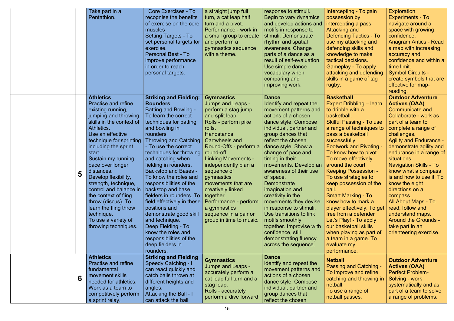| Take part in a<br>Pentathlon.                                                                                                                                                                                                                                                                                                                                                                                                                                                                     | Core Exercises - To<br>recognise the benefits<br>of exercise on the core<br>muscles<br><b>Setting Targets - To</b><br>set personal targets for<br>exercise.<br><b>Personal Best - To</b><br>improve performance<br>in order to reach<br>personal targets.                                                                                                                                                                                                                                                                                                                                                                                | a straight jump full<br>turn, a cat leap half<br>turn and a pivot.<br>Performance - work in<br>a small group to create<br>and perform a<br>gymnastics sequence<br>with a theme.                                                                                                                                                                                                                                                            | response to stimuli.<br>Begin to vary dynamics<br>and develop actions and<br>motifs in response to<br>stimuli. Demonstrate<br>rhythm and spatial<br>awareness. Change<br>parts of a dance as a<br>result of self-evaluation.<br>Use simple dance<br>vocabulary when<br>comparing and<br>improving work.                                                                                                                                                                                                                                                                                 | Intercepting -<br>possession by<br>intercepting a<br><b>Attacking and</b><br><b>Defending Ta</b><br>use my attack<br>defending ski<br>knowledge to<br>tactical decisi<br>Gameplay - T<br>attacking and<br>skills in a gan<br>rugby.                                                                                                                                                                                                                                              |
|---------------------------------------------------------------------------------------------------------------------------------------------------------------------------------------------------------------------------------------------------------------------------------------------------------------------------------------------------------------------------------------------------------------------------------------------------------------------------------------------------|------------------------------------------------------------------------------------------------------------------------------------------------------------------------------------------------------------------------------------------------------------------------------------------------------------------------------------------------------------------------------------------------------------------------------------------------------------------------------------------------------------------------------------------------------------------------------------------------------------------------------------------|--------------------------------------------------------------------------------------------------------------------------------------------------------------------------------------------------------------------------------------------------------------------------------------------------------------------------------------------------------------------------------------------------------------------------------------------|-----------------------------------------------------------------------------------------------------------------------------------------------------------------------------------------------------------------------------------------------------------------------------------------------------------------------------------------------------------------------------------------------------------------------------------------------------------------------------------------------------------------------------------------------------------------------------------------|----------------------------------------------------------------------------------------------------------------------------------------------------------------------------------------------------------------------------------------------------------------------------------------------------------------------------------------------------------------------------------------------------------------------------------------------------------------------------------|
| <b>Athletics</b><br><b>Practise and refine</b><br>existing running,<br>jumping and throwing<br>skills in the context of<br>Athletics.<br>Use an effective<br>technique for sprinting<br>including the sprint<br>start.<br>Sustain my running<br>pace over longer<br>distances.<br>5<br>Develop flexibility,<br>strength, technique,<br>control and balance in<br>the context of fling<br>throw (discus). To<br>learn the fling throw<br>technique.<br>To use a variety of<br>throwing techniques. | <b>Striking and Fielding:</b><br><b>Rounders</b><br><b>Batting and Bowling -</b><br>To learn the correct<br>techniques for batting<br>and bowling in<br>rounders<br><b>Throwing and Catching</b><br>- To use the correct<br>techniques for throwing<br>and catching when<br>fielding in rounders.<br><b>Backstop and Bases -</b><br>To know the roles and<br>responsibilities of the<br>backstop and base<br>fielders in rounders. To<br>field effectively in these<br>positions and<br>demonstrate good skill<br>and technique.<br>Deep Fielding - To<br>know the roles and<br>responsibilities of the<br>deep fielders in<br>rounders. | <b>Gymnastics</b><br><b>Jumps and Leaps -</b><br>perform a stag jump<br>and split leap.<br>Rolls - perform pike<br>rolls.<br>Handstands,<br>Cartwheels and<br>Round-Offs - perform a<br>round-off.<br><b>Linking Movements -</b><br>independently plan a<br>sequence of<br>gymnastics<br>movements that are<br>creatively linked<br>together.<br>Performance - perform<br>a gymnastics<br>sequence in a pair or<br>group in time to music. | <b>Dance</b><br>Identify and repeat the<br>movement patterns and<br>actions of a chosen<br>dance style. Compose<br>individual, partner and<br>group dances that<br>reflect the chosen<br>dance style. Show a<br>change of pace and<br>timing in their<br>movements. Develop an<br>awareness of their use<br>of space.<br><b>Demonstrate</b><br>imagination and<br>creativity in the<br>movements they devise<br>in response to stimuli.<br>Use transitions to link<br>motifs smoothly<br>together. Improvise with<br>confidence, still<br>demonstrating fluency<br>across the sequence. | <b>Basketball</b><br><b>Expert Dribbli</b><br>to dribble with<br>basketball.<br><b>Skilful Passin</b><br>a range of ted<br>pass a baske<br>successfully.<br><b>Footwork and</b><br>To know how<br>To move effe<br>around the co<br><b>Keeping Poss</b><br>To use strate<br>keep possess<br>ball.<br><b>Smart Markin</b><br>know how to<br>player effectiv<br>free from a de<br>Let's Play! - T<br>our basketbal<br>when playing<br>a team in a ga<br>evaluate my<br>performance. |
| <b>Athletics</b><br><b>Practise and refine</b><br>fundamental<br>movement skills<br>6<br>needed for athletics.<br>Work as a team to<br>competitively perform<br>a sprint relay.                                                                                                                                                                                                                                                                                                                   | <b>Striking and Fielding</b><br><b>Speedy Catching - I</b><br>can react quickly and<br>catch balls thrown at<br>different heights and<br>angles.<br><b>Attacking the Ball - I</b><br>can attack the ball                                                                                                                                                                                                                                                                                                                                                                                                                                 | <b>Gymnastics</b><br><b>Jumps and Leaps -</b><br>accurately perform a<br>cat leap full turn and a<br>stag leap.<br>Rolls - accurately<br>perform a dive forward                                                                                                                                                                                                                                                                            | <b>Dance</b><br>identify and repeat the<br>movement patterns and<br>actions of a chosen<br>dance style. Compose<br>individual, partner and<br>group dances that<br>reflect the chosen                                                                                                                                                                                                                                                                                                                                                                                                   | <b>Netball</b><br>Passing and<br>To improve a<br>catching and<br>netball.<br>To use a rang<br>netball passe                                                                                                                                                                                                                                                                                                                                                                      |

| Intercepting - To gain<br>possession by<br>intercepting a pass.<br>Attacking and<br><b>Defending Tactics - To</b><br>use my attacking and<br>defending skills and<br>knowledge to make<br>tactical decisions.<br><b>Gameplay - To apply</b><br>attacking and defending<br>skills in a game of tag<br>rugby.<br><b>Basketball</b><br><b>Expert Dribbling – learn</b><br>to dribble with a<br>basketball.<br><b>Skilful Passing - To use</b><br>a range of techniques to<br>pass a basketball<br>successfully.<br><b>Footwork and Pivoting -</b><br>To know how to pivot.<br>To move effectively<br>around the court.<br><b>Keeping Possession -</b><br>To use strategies to<br>keep possession of the<br>ball.<br><b>Smart Marking - To</b><br>know how to mark a<br>player effectively. To get<br>free from a defender<br>Let's Play! - To apply<br>our basketball skills<br>when playing as part of<br>a team in a game. To | <b>Exploration</b><br><b>Experiments - To</b><br>navigate around a<br>space with growing<br>confidence.<br><b>Anagram Antics - Read</b><br>a map with increasing<br>accuracy and<br>confidence and within a<br>time limit.<br><b>Symbol Circuits -</b><br>create symbols that are<br>effective for map-<br>reading.<br><b>Outdoor Adventure</b><br><b>Actives (OAA)</b><br><b>Communicate and</b><br>Collaborate - work as<br>part of a team to<br>complete a range of<br>challenges.<br><b>Agility and Endurance -</b><br>demonstrate agility and<br>endurance in a range of<br>situations.<br><b>Navigation Skills - To</b><br>know what a compass<br>is and how to use it. To<br>know the eight<br>directions on a<br>compass.<br>All About Maps - To<br>read, follow and<br>understand maps.<br><b>Around the Grounds -</b><br>take part in an<br>orienteering exercise. |
|------------------------------------------------------------------------------------------------------------------------------------------------------------------------------------------------------------------------------------------------------------------------------------------------------------------------------------------------------------------------------------------------------------------------------------------------------------------------------------------------------------------------------------------------------------------------------------------------------------------------------------------------------------------------------------------------------------------------------------------------------------------------------------------------------------------------------------------------------------------------------------------------------------------------------|------------------------------------------------------------------------------------------------------------------------------------------------------------------------------------------------------------------------------------------------------------------------------------------------------------------------------------------------------------------------------------------------------------------------------------------------------------------------------------------------------------------------------------------------------------------------------------------------------------------------------------------------------------------------------------------------------------------------------------------------------------------------------------------------------------------------------------------------------------------------------|
| evaluate my<br>performance.                                                                                                                                                                                                                                                                                                                                                                                                                                                                                                                                                                                                                                                                                                                                                                                                                                                                                                  |                                                                                                                                                                                                                                                                                                                                                                                                                                                                                                                                                                                                                                                                                                                                                                                                                                                                              |
| <b>Netball</b><br>Passing and Catching -<br>To improve and refine<br>catching and throwing in<br>netball.<br>To use a range of<br>netball passes.                                                                                                                                                                                                                                                                                                                                                                                                                                                                                                                                                                                                                                                                                                                                                                            | <b>Outdoor Adventure</b><br><b>Actives (OAA)</b><br><b>Perfect Problem-</b><br>Solving - work<br>systematically and as<br>part of a team to solve<br>a range of problems.                                                                                                                                                                                                                                                                                                                                                                                                                                                                                                                                                                                                                                                                                                    |
|                                                                                                                                                                                                                                                                                                                                                                                                                                                                                                                                                                                                                                                                                                                                                                                                                                                                                                                              |                                                                                                                                                                                                                                                                                                                                                                                                                                                                                                                                                                                                                                                                                                                                                                                                                                                                              |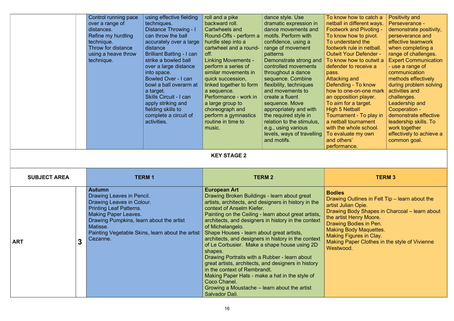|                     | Control running pace<br>over a range of<br>distances.<br>Refine my hurdling<br>technique.<br>Throw for distance<br>using a heave throw<br>technique.                                                         | using effective fielding<br>techniques.<br>Distance Throwing - I<br>can throw the ball<br>accurately over a large<br>distance<br><b>Brilliant Batting - I can</b><br>strike a bowled ball<br>over a large distance<br>into space.<br><b>Bowled Over - I can</b><br>bowl a ball overarm at<br>a target.<br><b>Skills Circuit - I can</b><br>apply striking and<br>fielding skills to<br>complete a circuit of<br>activities. | roll and a pike<br>backward roll.<br>Cartwheels and<br>Round-Offs - perform a<br>hurdle step into a<br>cartwheel and a round-<br>off.<br><b>Linking Movements -</b><br>perform a series of<br>similar movements in<br>quick succession,<br>linked together to form<br>a sequence.<br>Performance - work in<br>a large group to<br>choreograph and<br>perform a gymnastics<br>routine in time to<br>music. | dance style. Use<br>dramatic expression in<br>dance movements and<br>motifs. Perform with<br>confidence, using a<br>range of movement<br>patterns<br>Demonstrate strong and<br>controlled movements<br>throughout a dance<br>sequence. Combine<br>flexibility, techniques<br>and movements to<br>create a fluent<br>sequence. Move<br>appropriately and with<br>the required style in<br>relation to the stimulus,<br>e.g., using various<br>levels, ways of travelling<br>and motifs. | To know how to catch a<br>netball in different ways.<br><b>Footwork and Pivoting -</b><br>To know how to pivot.<br>To understand the<br>footwork rule in netball.<br><b>Outwit Your Defender -</b><br>To know how to outwit a<br>defender to receive a<br>pass.<br>Attacking and<br>Defending - To know<br>how to one-on-one mark<br>an opposition player.<br>To aim for a target.<br><b>High 5 Netball</b><br>Tournament - To play in<br>a netball tournament<br>with the whole school.<br>To evaluate my own<br>and others'<br>performance. | <b>Positivity and</b><br>Perseverance -<br>demonstrate positivity,<br>perseverance and<br>effective teamwork<br>when completing a<br>range of challenges.<br><b>Expert Communication</b><br>- use a range of<br>communication<br>methods effectively<br>during problem solving<br>activities and<br>challenges.<br>Leadership and<br>Cooperation -<br>demonstrate effective<br>leadership skills. To<br>work together<br>effectively to achieve a<br>common goal. |
|---------------------|--------------------------------------------------------------------------------------------------------------------------------------------------------------------------------------------------------------|-----------------------------------------------------------------------------------------------------------------------------------------------------------------------------------------------------------------------------------------------------------------------------------------------------------------------------------------------------------------------------------------------------------------------------|-----------------------------------------------------------------------------------------------------------------------------------------------------------------------------------------------------------------------------------------------------------------------------------------------------------------------------------------------------------------------------------------------------------|----------------------------------------------------------------------------------------------------------------------------------------------------------------------------------------------------------------------------------------------------------------------------------------------------------------------------------------------------------------------------------------------------------------------------------------------------------------------------------------|-----------------------------------------------------------------------------------------------------------------------------------------------------------------------------------------------------------------------------------------------------------------------------------------------------------------------------------------------------------------------------------------------------------------------------------------------------------------------------------------------------------------------------------------------|-------------------------------------------------------------------------------------------------------------------------------------------------------------------------------------------------------------------------------------------------------------------------------------------------------------------------------------------------------------------------------------------------------------------------------------------------------------------|
|                     |                                                                                                                                                                                                              |                                                                                                                                                                                                                                                                                                                                                                                                                             | <b>KEY STAGE 2</b>                                                                                                                                                                                                                                                                                                                                                                                        |                                                                                                                                                                                                                                                                                                                                                                                                                                                                                        |                                                                                                                                                                                                                                                                                                                                                                                                                                                                                                                                               |                                                                                                                                                                                                                                                                                                                                                                                                                                                                   |
| <b>SUBJECT AREA</b> | <b>TERM1</b>                                                                                                                                                                                                 |                                                                                                                                                                                                                                                                                                                                                                                                                             | <b>TERM 2</b>                                                                                                                                                                                                                                                                                                                                                                                             |                                                                                                                                                                                                                                                                                                                                                                                                                                                                                        |                                                                                                                                                                                                                                                                                                                                                                                                                                                                                                                                               | <b>TERM 3</b>                                                                                                                                                                                                                                                                                                                                                                                                                                                     |
| 3<br><b>ART</b>     | <b>Autumn</b><br>Drawing Leaves in Pencil.<br>Drawing Leaves in Colour.<br><b>Printing Leaf Patterns.</b><br><b>Making Paper Leaves.</b><br>Drawing Pumpkins, learn about the artist<br>Matisse.<br>Cezanne. | Painting Vegetable Skins, learn about the artist                                                                                                                                                                                                                                                                                                                                                                            | <b>European Art</b><br>Drawing Broken Buildings - learn about great<br>context of Anselm Kiefer.<br>of Michelangelo.<br>Shape Houses - learn about great artists,<br>shapes.<br>Drawing Portraits with a Rubber - learn about<br>in the context of Rembrandt.<br>Making Paper Hats - make a hat in the style of<br>Coco Chanel.<br>Growing a Moustache - learn about the artist<br>Salvador Dali.         | artists, architects, and designers in history in the<br>Painting on the Ceiling - learn about great artists,<br>architects, and designers in history in the context<br>architects, and designers in history in the context<br>of Le Corbusier. Make a shape house using 2D<br>great artists, architects, and designers in history                                                                                                                                                      | <b>Bodies</b><br>Drawing Outlines in Felt Tip - learn about the<br>artist Julian Opie.<br>Drawing Body Shapes in Charcoal - learn about<br>the artist Henry Moore.<br>Drawing Bodies in Pen.<br><b>Making Body Maquettes.</b><br><b>Making Figures in Clay.</b><br>Making Paper Clothes in the style of Vivienne<br>Westwood.                                                                                                                                                                                                                 |                                                                                                                                                                                                                                                                                                                                                                                                                                                                   |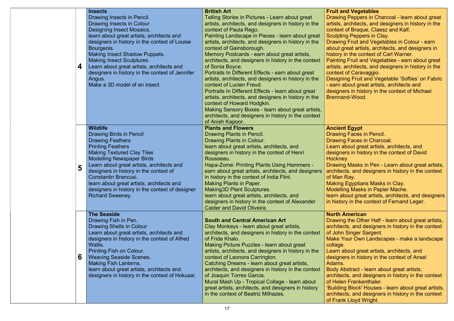### nd Vegetables

g Peppers in Charcoal - learn about great architects, and designers in history in the  $\alpha$  of Braque, Claesz and Kalf.

ng Peppers in Clay. g Fruit and Vegetables in Colour - earn

great artists, architects, and designers in in the context of Carl Warner.

g Fruit and Vegetables - earn about great  $architects$ , and designers in history in the cof Caravaggio.

ing Fruit and Vegetable 'Softies' on Fabric about great artists, architects and ers in history in the context of Michael nd-Wood.

### **ht Egypt**

g Faces in Pencil.

g Faces in Charcoal.

about great artists, architects, and

ers in history in the context of David

ey.

g Masks in Pen - Learn about great artists, cts, and designers in history in the context Ray.

Egyptians Masks in Clay.

ing Masks in Papier Mache.

bout great artists, architects, and designers ory in the context of Fernand Leger.

### **American**

g the Other Half - learn about great artists,  $cts,$  and designers in history in the context Singer Sargent.

Your Own Landscapes - make a landscape

about great artists, architects, and ers in history in the context of Ansel

**bstract - learn about great artists,** 

cts, and designers in history in the context n Frankenthaler.

ng Block' Houses - learn about great artists, cts, and designers in history in the context **K Lloyd Wright.** 

| 4 | <b>Insects</b><br>Drawing Insects in Pencil.<br>Drawing Insects in Colour<br>Designing Insect Mosaics.<br>learn about great artists, architects and<br>designers in history in the context of Louise<br>Bourgeois.<br><b>Making Insect Shadow Puppets.</b><br><b>Making Insect Sculptures.</b><br>Learn about great artists, architects and<br>designers in history in the context of Jennifer<br>Angus.<br>Make a 3D model of an insect. | <b>British Art</b><br>Telling Stories in Pictures - Learn about great<br>artists, architects, and designers in history in the<br>context of Paula Rego.<br>Painting Landscape in Pieces - learn about great<br>artists, architects, and designers in history in the<br>context of Gainsborough.<br>Memory Postcards - earn about great artists,<br>architects, and designers in history in the context<br>of Sonia Boyce.<br>Portraits In Different Effects - earn about great<br>artists, architects, and designers in history in the<br>context of Lucien Freud.<br>Portraits In Different Effects - learn about great<br>artists, architects, and designers in history in the<br>context of Howard Hodgkin.<br>Making Sensory Boxes - learn about great artists,<br>architects, and designers in history in the context<br>of Anish Kapoor. | <b>Fruit an</b><br><b>Drawing</b><br>artists, a<br>context o<br>Sculpting<br><b>Drawing</b><br>about gr<br>history in<br><b>Painting</b><br>artists, a<br>context o<br>Designir<br>- earn ab<br>designer<br><b>Brennan</b> |
|---|-------------------------------------------------------------------------------------------------------------------------------------------------------------------------------------------------------------------------------------------------------------------------------------------------------------------------------------------------------------------------------------------------------------------------------------------|------------------------------------------------------------------------------------------------------------------------------------------------------------------------------------------------------------------------------------------------------------------------------------------------------------------------------------------------------------------------------------------------------------------------------------------------------------------------------------------------------------------------------------------------------------------------------------------------------------------------------------------------------------------------------------------------------------------------------------------------------------------------------------------------------------------------------------------------|----------------------------------------------------------------------------------------------------------------------------------------------------------------------------------------------------------------------------|
| 5 | <b>Wildlife</b><br><b>Drawing Birds in Pencil</b><br><b>Drawing Feathers</b><br><b>Printing Feathers</b><br><b>Making Textured Clay Tiles</b><br><b>Modelling Newspaper Birds</b><br>Learn about great artists, architects and<br>designers in history in the context of<br><b>Constantin Brancusi.</b><br>learn about great artists, architects and<br>designers in history in the context of designer<br><b>Richard Sweeney.</b>        | <b>Plants and Flowers</b><br>Drawing Plants in Pencil.<br>Drawing Plants in Colour.<br>learn about great artists, architects, and<br>designers in history in the context of Henri<br>Rousseau.<br>Hapa-Zome: Printing Plants Using Hammers -<br>earn about great artists, architects, and designers<br>in history in the context of India Flint.<br><b>Making Plants in Paper.</b><br><b>Making3D Plant Sculptures.</b><br>learn about great artists, architects, and<br>designers in history in the context of Alexander<br><b>Calder and David Oliveira.</b>                                                                                                                                                                                                                                                                                 | <b>Ancient</b><br><b>Drawing</b><br>Drawing<br>Learn ab<br>designer<br><b>Hockney</b><br><b>Drawing</b><br>architect<br>of Man F<br><b>Making I</b><br><b>Modellin</b><br>learn ab<br>in history                           |
| 6 | <b>The Seaside</b><br>Drawing Fish in Pen.<br><b>Drawing Shells in Colour</b><br>Learn about great artists, architects and<br>designers in history in the context of Alfred<br>Wallis.<br><b>Printing Fish on Colour.</b><br><b>Weaving Seaside Scenes.</b><br><b>Making Fish Lanterns.</b><br>learn about great artists, architects and<br>designers in history in the context of Hokusai.                                               | <b>South and Central American Art</b><br>Clay Monkeys - learn about great artists,<br>architects, and designers in history in the context<br>of Frida Khalo.<br>Making Picture Puzzles - learn about great<br>artists, architects, and designers in history in the<br>context of Leonora Carrington.<br>Catching Dreams - learn about great artists,<br>architects, and designers in history in the context<br>of Joaquin Torres Garcia.<br>Mural Mash Up - Tropical Collage - learn about<br>great artists, architects, and designers in history<br>in the context of Beatriz Milhazes.                                                                                                                                                                                                                                                       | <b>North A</b><br><b>Drawing</b><br>architect<br>of John :<br><b>Make Yo</b><br>collage.<br>Learn ab<br>designer<br>Adams.<br><b>Body Ab</b><br>architect<br>of Helen<br>'Building<br>architect<br>of Frank                |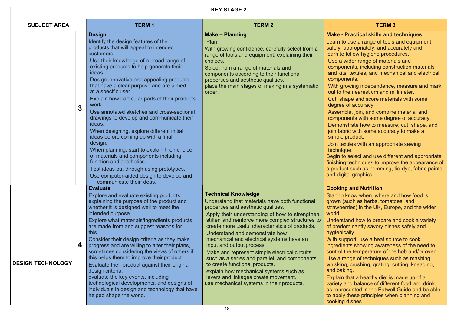### **Practical skills and techniques**

- use a range of tools and equipment ppropriately, and accurately and follow hygiene procedures.
- wider range of materials and
- nents, including construction materials  $a$ , textiles, and mechanical and electrical nents.
- owing independence, measure and mark ne nearest cm and millimeter.
- ape and score materials with some of accuracy.
- ble, join, and combine material and nents with some degree of accuracy.
- strate how to measure, cut, shape, and ric with some accuracy to make a product.
- tiles with an appropriate sewing ue.
- select and use different and appropriate techniques to improve the appearance of ct such as hemming, tie-dye, fabric paints tal graphics.

### **g and Nutrition**

- know when, where and how food is such as herbs, tomatoes, and rries) in the UK, Europe, and the wider
- and how to prepare and cook a variety ominantly savory dishes safely and ally.
- oport, use a heat source to cook ints showing awareness of the need to he temperature of the hob and/or oven. ange of techniques such as mashing, g, crushing, grating, cutting, kneading, ing.
- that a healthy diet is made up of a and balance of different food and drink, sented in the Eatwell Guide and be able these principles when planning and dishes.

### KEY STAGE 2

| <b>SUBJECT AREA</b>           | <b>TERM1</b>                                                                                                                                                                                                                                                                                                                                                                                                                                                                                                                                                                                                                                                                                                                                                                                                                         | <b>TERM 2</b>                                                                                                                                                                                                                                                                                                                                                                                                                                                                                                                                                                                                                                                 | <b>TERM 3</b>                                                                                                                                                                                                                                                                                                                                                                                                                                                                                                                                                                                                                                                                                                          |
|-------------------------------|--------------------------------------------------------------------------------------------------------------------------------------------------------------------------------------------------------------------------------------------------------------------------------------------------------------------------------------------------------------------------------------------------------------------------------------------------------------------------------------------------------------------------------------------------------------------------------------------------------------------------------------------------------------------------------------------------------------------------------------------------------------------------------------------------------------------------------------|---------------------------------------------------------------------------------------------------------------------------------------------------------------------------------------------------------------------------------------------------------------------------------------------------------------------------------------------------------------------------------------------------------------------------------------------------------------------------------------------------------------------------------------------------------------------------------------------------------------------------------------------------------------|------------------------------------------------------------------------------------------------------------------------------------------------------------------------------------------------------------------------------------------------------------------------------------------------------------------------------------------------------------------------------------------------------------------------------------------------------------------------------------------------------------------------------------------------------------------------------------------------------------------------------------------------------------------------------------------------------------------------|
| $\overline{3}$                | <b>Design</b><br>Identify the design features of their<br>products that will appeal to intended<br>customers.<br>Use their knowledge of a broad range of<br>existing products to help generate their<br>ideas.<br>Design innovative and appealing products<br>that have a clear purpose and are aimed<br>at a specific user.<br>Explain how particular parts of their products<br>work.<br>Use annotated sketches and cross-sectional<br>drawings to develop and communicate their<br>ideas.<br>When designing, explore different initial<br>ideas before coming up with a final<br>design.<br>When planning, start to explain their choice<br>of materials and components including<br>function and aesthetics.<br>Test ideas out through using prototypes.<br>Use computer-aided design to develop and<br>communicate their ideas. | <b>Make – Planning</b><br>Plan<br>With growing confidence, carefully select from a<br>range of tools and equipment, explaining their<br>choices.<br>Select from a range of materials and<br>components according to their functional<br>properties and aesthetic qualities.<br>place the main stages of making in a systematic<br>order.                                                                                                                                                                                                                                                                                                                      | <b>Make - Practical skills and to</b><br>Learn to use a range of tools a<br>safely, appropriately, and accu<br>learn to follow hygiene proced<br>Use a wider range of material<br>components, including constr<br>and kits, textiles, and mechar<br>components.<br>With growing independence,<br>out to the nearest cm and mil<br>Cut, shape and score materia<br>degree of accuracy.<br>Assemble, join, and combine<br>components with some degre<br>Demonstrate how to measure<br>join fabric with some accuract<br>simple product.<br>Join textiles with an appropria<br>technique.<br>Begin to select and use differe<br>finishing techniques to improve<br>a product such as hemming, ti<br>and digital graphics. |
| 4<br><b>DESIGN TECHNOLOGY</b> | <b>Evaluate</b><br>Explore and evaluate existing products,<br>explaining the purpose of the product and<br>whether it is designed well to meet the<br>intended purpose.<br>Explore what materials/ingredients products<br>are made from and suggest reasons for<br>this.<br>Consider their design criteria as they make<br>progress and are willing to alter their plans,<br>sometimes considering the views of others if<br>this helps them to improve their product.<br>Evaluate their product against their original<br>design criteria.<br>evaluate the key events, including<br>technological developments, and designs of<br>individuals in design and technology that have<br>helped shape the world.                                                                                                                         | <b>Technical Knowledge</b><br>Understand that materials have both functional<br>properties and aesthetic qualities.<br>Apply their understanding of how to strengthen,<br>stiffen and reinforce more complex structures to<br>create more useful characteristics of products.<br>Understand and demonstrate how<br>mechanical and electrical systems have an<br>input and output process.<br>Make and represent simple electrical circuits,<br>such as a series and parallel, and components<br>to create functional products.<br>explain how mechanical systems such as<br>levers and linkages create movement.<br>use mechanical systems in their products. | <b>Cooking and Nutrition</b><br>Start to know when, where an<br>grown (such as herbs, tomato<br>strawberries) in the UK, Europ<br>world.<br>Understand how to prepare are<br>of predominantly savory dishe<br>hygienically.<br>With support, use a heat soure<br>ingredients showing awarenes<br>control the temperature of the<br>Use a range of techniques sud<br>whisking, crushing, grating, cu<br>and baking.<br>Explain that a healthy diet is n<br>variety and balance of differer<br>as represented in the Eatwell<br>to apply these principles when<br>cooking dishes.                                                                                                                                        |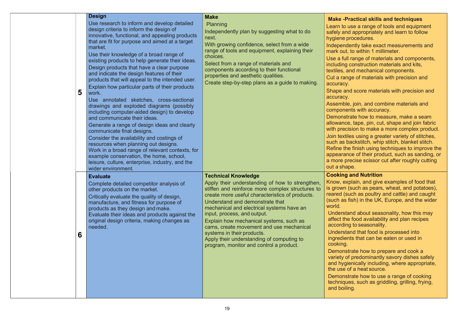### -Practical skills and techniques

- o use a range of tools and equipment and appropriately and learn to follow e procedures.
- Indently take exact measurements and ut, to within 1 millimeter.
- full range of materials and components, ng construction materials and kits,
- and mechanical components.
- ange of materials with precision and  $\mathsf{CV}_\gamma$
- and score materials with precision and cy.
- ble, join, and combine materials and nents with accuracy.
- strate how to measure, make a seam nce, tape, pin, cut, shape and join fabric ecision to make a more complex product.
- xtiles using a greater variety of stitches, s backstitch, whip stitch, blanket stitch. the finish using techniques to improve the ance of their product, such as sanding, or precise scissor cut after roughly cutting hape.

### **ng and Nutrition**

- explain, and give examples of food that In (such as pears, wheat, and potatoes), (such as poultry and cattle) and caught as fish) in the UK, Europe, and the wider
- stand about seasonality, how this may the food availability and plan recipes ding to seasonality.
- stand that food is processed into ients that can be eaten or used in  $q_{\text{r}}$
- nstrate how to prepare and cook a of predominantly savory dishes safely *gienically including, where appropriate,* e of a heat source.
- nstrate how to use a range of cooking ques, such as griddling, grilling, frying, biling.

| 5 | <b>Design</b><br>Use research to inform and develop detailed<br>design criteria to inform the design of<br>innovative, functional, and appealing products<br>that are fit for purpose and aimed at a target<br>market.<br>Use their knowledge of a broad range of<br>existing products to help generate their ideas.<br>Design products that have a clear purpose<br>and indicate the design features of their<br>products that will appeal to the intended user.<br>Explain how particular parts of their products<br>work.<br>Use annotated sketches, cross-sectional<br>drawings and exploded diagrams (possibly<br>including computer-aided design) to develop<br>and communicate their ideas.<br>Generate a range of design ideas and clearly<br>communicate final designs.<br>Consider the availability and costings of<br>resources when planning out designs.<br>Work in a broad range of relevant contexts, for<br>example conservation, the home, school,<br>leisure, culture, enterprise, industry, and the<br>wider environment. | <b>Make</b><br>Planning<br>Independently plan by suggesting what to do<br>next.<br>With growing confidence, select from a wide<br>range of tools and equipment, explaining their<br>choices.<br>Select from a range of materials and<br>components according to their functional<br>properties and aesthetic qualities.<br>Create step-by-step plans as a guide to making.                                                                                                                                       | <b>Make</b><br>Learn t<br>safely a<br>hygien<br>Indepe<br>mark o<br>Use a f<br>includir<br>textiles<br>Cut a r<br>accura<br><b>Shape</b><br>accura<br><b>Assem</b><br>compo<br>Demor<br>allowar<br>with pro<br>Join te:<br>such as<br><b>Refine</b><br>appear<br>a more<br>out a sl |
|---|----------------------------------------------------------------------------------------------------------------------------------------------------------------------------------------------------------------------------------------------------------------------------------------------------------------------------------------------------------------------------------------------------------------------------------------------------------------------------------------------------------------------------------------------------------------------------------------------------------------------------------------------------------------------------------------------------------------------------------------------------------------------------------------------------------------------------------------------------------------------------------------------------------------------------------------------------------------------------------------------------------------------------------------------|------------------------------------------------------------------------------------------------------------------------------------------------------------------------------------------------------------------------------------------------------------------------------------------------------------------------------------------------------------------------------------------------------------------------------------------------------------------------------------------------------------------|-------------------------------------------------------------------------------------------------------------------------------------------------------------------------------------------------------------------------------------------------------------------------------------|
| 6 | <b>Evaluate</b><br>Complete detailed competitor analysis of<br>other products on the market.<br>Critically evaluate the quality of design,<br>manufacture, and fitness for purpose of<br>products as they design and make.<br>Evaluate their ideas and products against the<br>original design criteria, making changes as<br>needed.                                                                                                                                                                                                                                                                                                                                                                                                                                                                                                                                                                                                                                                                                                        | <b>Technical Knowledge</b><br>Apply their understanding of how to strengthen,<br>stiffen and reinforce more complex structures to<br>create more useful characteristics of products.<br>Understand and demonstrate that<br>mechanical and electrical systems have an<br>input, process, and output.<br>Explain how mechanical systems, such as<br>cams, create movement and use mechanical<br>systems in their products.<br>Apply their understanding of computing to<br>program, monitor and control a product. | <b>Cookir</b><br>Know,<br>is grow<br>reared<br>(such a<br>world.<br>Under<br>affect<br>accord<br>Under<br>ingred<br>cookin<br>Demo<br>variety<br>and hy<br>the us<br>Demo<br>techni<br>and bo                                                                                       |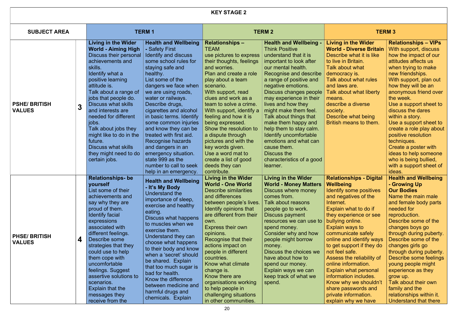| <b>KEY STAGE 2</b>                   |   |                                                                                                                                                                                                                                                                                                                                                                                                                                                      |                                                                                                                                                                                                                                                                                                                                                                                                                                                                                                                      |                                                                                                                                                                                                                                                                                                                                                                                                                                                                                                     |                                                                                                                                                                                                                                                                                                                                                                                                                                                                                                                       |                                                                                                                                                                                                                                                                                                                                                                                                                                                                                                                           |                                                                                                                                                                                                                                                                                                                                                                                                                                                                                                                      |  |
|--------------------------------------|---|------------------------------------------------------------------------------------------------------------------------------------------------------------------------------------------------------------------------------------------------------------------------------------------------------------------------------------------------------------------------------------------------------------------------------------------------------|----------------------------------------------------------------------------------------------------------------------------------------------------------------------------------------------------------------------------------------------------------------------------------------------------------------------------------------------------------------------------------------------------------------------------------------------------------------------------------------------------------------------|-----------------------------------------------------------------------------------------------------------------------------------------------------------------------------------------------------------------------------------------------------------------------------------------------------------------------------------------------------------------------------------------------------------------------------------------------------------------------------------------------------|-----------------------------------------------------------------------------------------------------------------------------------------------------------------------------------------------------------------------------------------------------------------------------------------------------------------------------------------------------------------------------------------------------------------------------------------------------------------------------------------------------------------------|---------------------------------------------------------------------------------------------------------------------------------------------------------------------------------------------------------------------------------------------------------------------------------------------------------------------------------------------------------------------------------------------------------------------------------------------------------------------------------------------------------------------------|----------------------------------------------------------------------------------------------------------------------------------------------------------------------------------------------------------------------------------------------------------------------------------------------------------------------------------------------------------------------------------------------------------------------------------------------------------------------------------------------------------------------|--|
| <b>SUBJECT AREA</b>                  |   | <b>TERM1</b>                                                                                                                                                                                                                                                                                                                                                                                                                                         |                                                                                                                                                                                                                                                                                                                                                                                                                                                                                                                      |                                                                                                                                                                                                                                                                                                                                                                                                                                                                                                     | <b>TERM 2</b>                                                                                                                                                                                                                                                                                                                                                                                                                                                                                                         |                                                                                                                                                                                                                                                                                                                                                                                                                                                                                                                           | <b>TERM3</b>                                                                                                                                                                                                                                                                                                                                                                                                                                                                                                         |  |
| <b>PSHE/BRITISH</b><br><b>VALUES</b> | 3 | <b>Living in the Wider</b><br><b>World - Aiming High</b><br>Discuss their personal<br>achievements and<br>skills.<br>Identify what a<br>positive learning<br>attitude is.<br>Talk about a range of<br>jobs that people do.<br><b>Discuss what skills</b><br>and interests are<br>needed for different<br>jobs.<br>Talk about jobs they<br>might like to do in the<br>future.<br><b>Discuss what skills</b><br>they might need to do<br>certain jobs. | <b>Health and Wellbeing</b><br>- Safety First<br>Identify and discuss<br>some school rules for<br>staying safe and<br>healthy.<br>List some of the<br>dangers we face when<br>we are using roads,<br>water or railways.<br>Describe drugs,<br>cigarettes and alcohol<br>in basic terms. Identify<br>some common injuries<br>and know they can be<br>treated with first aid.<br>Recognise hazards<br>and dangers in an<br>emergency situation.<br>state 999 as the<br>number to call to seek<br>help in an emergency. | <b>Relationships -</b><br><b>TEAM</b><br>use pictures to express<br>their thoughts, feelings<br>and worries.<br>Plan and create a role<br>play about a team<br>scenario.<br>With support, read<br>clues and work as a<br>team to solve a crime.<br>With support, identify a<br>feeling and how it is<br>being expressed.<br>Show the resolution to<br>a dispute through<br>pictures and with the<br>key words given.<br>Use a word mat to<br>create a list of good<br>deeds they can<br>contribute. | <b>Health and Wellbeing -</b><br><b>Think Positive</b><br>understand that it is<br>important to look after<br>our mental health.<br>Recognise and describe<br>a range of positive and<br>negative emotions.<br>Discuss changes people<br>may experience in their<br>lives and how they<br>might make them feel.<br>Talk about things that<br>make them happy and<br>help them to stay calm.<br>Identify uncomfortable<br>emotions and what can<br>cause them.<br>Discuss the<br>characteristics of a good<br>learner. | <b>Living in the Wider</b><br><b>World - Diverse Britain</b><br>Describe what it is like<br>to live in Britain.<br>Talk about what<br>democracy is.<br>Talk about what rules<br>and laws are.<br>Talk about what liberty<br>means.<br>describe a diverse<br>society.<br>Describe what being<br>British means to them.                                                                                                                                                                                                     | <b>Relationships - VIPs</b><br>With support, discuss<br>how the impact of our<br>attitudes affects us<br>when trying to make<br>new friendships.<br>With support, plan out<br>how they will be an<br>anonymous friend over<br>the week.<br>Use a support sheet to<br>discuss the dares<br>within a story.<br>Use a support sheet to<br>create a role play about<br>positive resolution<br>techniques.<br>Create a poster with<br>ideas to help someone<br>who is being bullied,<br>with a support sheet of<br>ideas. |  |
| <b>PHSE/BRITISH</b><br><b>VALUES</b> | 4 | <b>Relationships-be</b><br>yourself<br>List some of their<br>achievements and<br>say why they are<br>proud of them.<br><b>Identify facial</b><br>expressions<br>associated with<br>different feelings.<br>Describe some<br>strategies that they<br>could use to help<br>them cope with<br>uncomfortable<br>feelings. Suggest<br>assertive solutions to<br>scenarios.<br>Explain that the<br>messages they<br>receive from the                        | <b>Health and Wellbeing</b><br>- It's My Body<br>Understand the<br>importance of sleep,<br>exercise and healthy<br>eating.<br>Discuss what happens<br>to muscles when we<br>exercise them.<br>Understand they can<br>choose what happens<br>to their body and know<br>when a 'secret' should<br>be shared. Explain<br>that too much sugar is<br>bad for health.<br>Know the difference<br>between medicine and<br>harmful drugs and<br>chemicals. Explain                                                            | <b>Living in the Wider</b><br><b>World - One World</b><br><b>Describe similarities</b><br>and differences<br>between people's lives.<br>Identify opinions that<br>are different from their<br>own.<br>Express their own<br>opinions.<br>Recognise that their<br>actions impact on<br>people in different<br>countries.<br>Know what climate<br>change is.<br>Know there are<br>organisations working<br>to help people in<br>challenging situations<br>in other communities.                        | <b>Living in the Wider</b><br><b>World - Money Matters</b><br>Discuss where money<br>comes from.<br>Talk about reasons<br>people go to work.<br>Discuss payment<br>resources we can use to<br>spend money.<br>Consider why and how<br>people might borrow<br>money.<br>Discuss the choices we<br>have about how to<br>spend our money.<br>Explain ways we can<br>keep track of what we<br>spend.                                                                                                                      | <b>Relationships - Digital</b><br><b>Wellbeing</b><br>Identify some positives<br>and negatives of the<br>Internet.<br>Explain what to do if<br>they experience or see<br>bullying online.<br>Explain ways to<br>communicate safely<br>online and identify ways<br>to get support if they do<br>not feel safe.<br>Assess the reliability of<br>online information.<br><b>Explain what personal</b><br>information includes.<br>Know why we shouldn't<br>share passwords and<br>private information.<br>explain why we have | <b>Health and Wellbeing</b><br>- Growing Up<br><b>Our Bodies</b><br>Name the main male<br>and female body parts<br>needed for<br>reproduction.<br>Describe some of the<br>changes boys go<br>through during puberty.<br>Describe some of the<br>changes girls go<br>through during puberty.<br>Describe some feelings<br>young people might<br>experience as they<br>grow up.<br>Talk about their own<br>family and the<br>relationships within it.<br>Understand that there                                         |  |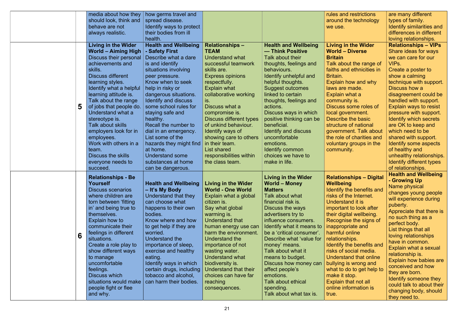|   | media about how they                         | how germs travel and        |                                |                             | rules and restrictions         | are many different                     |
|---|----------------------------------------------|-----------------------------|--------------------------------|-----------------------------|--------------------------------|----------------------------------------|
|   | should look, think and                       | spread disease.             |                                |                             | around the technology          | types of family.                       |
|   | behave are not                               | Identify ways to protect    |                                |                             | we use.                        | Identify similarities and              |
|   | always realistic.                            | their bodies from ill       |                                |                             |                                | differences in different               |
|   |                                              | health.                     |                                |                             |                                | loving relationships.                  |
|   |                                              |                             |                                |                             |                                |                                        |
|   | <b>Living in the Wider</b>                   | <b>Health and Wellbeing</b> | <b>Relationships -</b>         | <b>Health and Wellbeing</b> | <b>Living in the Wider</b>     | <b>Relationships - VIPs</b>            |
|   | <b>World - Aiming High</b>                   | - Safety First              | <b>TEAM</b>                    | — Think Positive            | <b>World - Diverse</b>         | Share ideas for ways                   |
|   | Discuss their personal                       | Describe what a dare        | <b>Understand what</b>         | Talk about their            | <b>Britain</b>                 | we can care for our                    |
|   | achievements and                             | is and identify             | successful teamwork            | thoughts, feelings and      | Talk about the range of        | VIPs.                                  |
|   | skills.                                      | situations involving        | skills are.                    | behaviours.                 | faiths and ethnicities in      | Create a poster to                     |
|   | <b>Discuss different</b>                     | peer pressure.              | <b>Express opinions</b>        | Identify unhelpful and      | Britain.                       | show a calming                         |
|   | learning styles.                             | Know when to seek           | respectfully.                  | helpful thoughts.           | Explain how and why            | technique with support.                |
|   | Identify what a helpful                      | help in risky or            | <b>Explain what</b>            | <b>Suggest outcomes</b>     | laws are made.                 | Discuss how a                          |
|   | learning attitude is.                        | dangerous situations.       | collaborative working          | linked to certain           | Explain what a                 | disagreement could be                  |
|   | Talk about the range                         | Identify and discuss        | is.                            | thoughts, feelings and      | community is.                  | handled with support.                  |
| 5 | of jobs that people do.                      | some school rules for       | Discuss what a                 | actions.                    | Discuss some roles of          | <b>Explain ways to resist</b>          |
|   | Understand what a                            | staying safe and            | compromise is.                 | Discuss ways in which       | local government.              | pressure with support.                 |
|   | stereotype is.                               | healthy.                    | <b>Discuss different types</b> | positive thinking can be    | Describe the basic             | Identify which secrets                 |
|   | Talk about skills                            | Recall the number to        | of unkind behaviour.           | beneficial.                 | structure of national          | are OK to keep and                     |
|   | employers look for in                        | dial in an emergency.       | Identify ways of               | Identify and discuss        | government. Talk about         | which need to be                       |
|   | employees.                                   | List some of the            | showing care to others         | uncomfortable               | the role of charities and      | shared with support.                   |
|   | Work with others in a                        | hazards they might find     | in their team.                 | emotions.                   | voluntary groups in the        | Identify some aspects                  |
|   | team.                                        | at home.                    | List shared                    | Identify common             | community.                     | of healthy and                         |
|   | <b>Discuss the skills</b>                    | <b>Understand some</b>      | responsibilities within        | choices we have to          |                                | unhealthy relationships.               |
|   | everyone needs to                            | substances at home          | the class team.                | make in life.               |                                | Identify different types               |
|   | succeed.                                     | can be dangerous.           |                                |                             |                                | of relationships.                      |
|   |                                              |                             |                                |                             |                                | <b>Health and Wellbeing</b>            |
|   | <b>Relationships - Be</b><br><b>Yourself</b> |                             |                                | <b>Living in the Wider</b>  | <b>Relationships - Digital</b> | - Growing Up                           |
|   |                                              | <b>Health and Wellbeing</b> | <b>Living in the Wider</b>     | <b>World - Money</b>        | <b>Wellbeing</b>               | Name physical                          |
|   | <b>Discuss scenarios</b>                     | - It's My Body              | <b>World - One World</b>       | <b>Matters</b>              | Identify the benefits and      | changes young people                   |
|   | where children are                           | Understand that they        | Explain what a global          | Talk about what             | risks of the Internet.         | will experience during                 |
|   | torn between 'fitting                        | can choose what             | citizen is.                    | financial risk is.          | Understand it is               | puberty.                               |
|   | in' and being true to                        | happens to their own        | Say what global                | Discuss the ways            | important to look after        | Appreciate that there is               |
|   | themselves.                                  | bodies.                     | warming is.                    | advertisers try to          | their digital wellbeing.       | no such thing as a                     |
|   | Explain how to                               | Know where and how          | Understand that                | influence consumers.        | Recognise the signs of         | perfect body.                          |
|   | communicate their                            | to get help if they are     | human energy use can           | Identify what it means to   | inappropriate and              | List things that all                   |
| 6 | feelings in different                        | worried.                    | harm the environment.          | be a 'critical consumer'.   | harmful online                 | loving relationships                   |
|   | situations.                                  | Understand the              | Understand the                 | Describe what 'value for    | relationships.                 | have in common.                        |
|   | Create a role play to                        | importance of sleep,        | importance of not              | money' means.               | Identify the benefits and      | Explain what a sexual                  |
|   | show different ways                          | exercise and healthy        | wasting water.                 | Talk about what it          | risks of social media.         | relationship is.                       |
|   | to manage                                    | eating.                     | Understand what                | means to budget.            | Understand that online         | Explain how babies are                 |
|   | uncomfortable                                | Identify ways in which      | biodiversity is.               | Discuss how money can       | bullying is wrong and          | conceived and how                      |
|   | feelings.                                    | certain drugs, including    | Understand that their          | affect people's             | what to do to get help to      | they are born.                         |
|   | <b>Discuss which</b>                         | tobacco and alcohol,        | choices can have far           | emotions.                   | make it stop.                  | Identify someone they                  |
|   | situations would make                        | can harm their bodies.      | reaching                       | Talk about ethical          | Explain that not all           | could talk to about their              |
|   | people fight or flee                         |                             | consequences.                  | spending.                   | online information is          |                                        |
|   | and why.                                     |                             |                                | Talk about what tax is.     | true.                          | changing body, should<br>they need to. |
|   |                                              |                             |                                |                             |                                |                                        |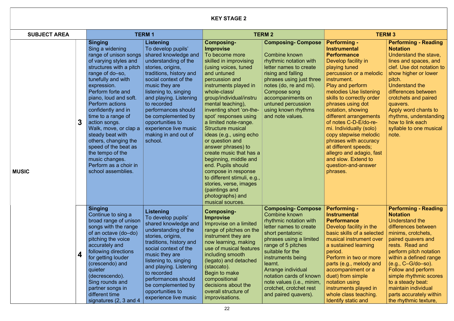### KEY STAGE 2

| <b>SUBJECT AREA</b> |   | <b>TERM1</b>                                                                                                                                                                                                                                                                                                                                                                                                                                                                                  |                                                                                                                                                                                                                                                                                                                                                                                  | <b>TERM 2</b>                                                                                                                                                                                                                                                                                                                                                                                                                                                                                                                                                                                                                         |                                                                                                                                                                                                                                                                                                                                                                | <b>TERM 3</b>                                                                                                                                                                                                                                                                                                                                                                                                                                                                                                         |                                                                                                                                                                                                                                                                                                                                                                                    |
|---------------------|---|-----------------------------------------------------------------------------------------------------------------------------------------------------------------------------------------------------------------------------------------------------------------------------------------------------------------------------------------------------------------------------------------------------------------------------------------------------------------------------------------------|----------------------------------------------------------------------------------------------------------------------------------------------------------------------------------------------------------------------------------------------------------------------------------------------------------------------------------------------------------------------------------|---------------------------------------------------------------------------------------------------------------------------------------------------------------------------------------------------------------------------------------------------------------------------------------------------------------------------------------------------------------------------------------------------------------------------------------------------------------------------------------------------------------------------------------------------------------------------------------------------------------------------------------|----------------------------------------------------------------------------------------------------------------------------------------------------------------------------------------------------------------------------------------------------------------------------------------------------------------------------------------------------------------|-----------------------------------------------------------------------------------------------------------------------------------------------------------------------------------------------------------------------------------------------------------------------------------------------------------------------------------------------------------------------------------------------------------------------------------------------------------------------------------------------------------------------|------------------------------------------------------------------------------------------------------------------------------------------------------------------------------------------------------------------------------------------------------------------------------------------------------------------------------------------------------------------------------------|
| <b>MUSIC</b>        |   | <b>Singing</b><br>Sing a widening<br>range of unison songs<br>of varying styles and<br>structures with a pitch<br>range of do-so,<br>tunefully and with<br>expression.<br>Perform forte and<br>piano, loud and soft.<br><b>Perform actions</b><br>confidently and in<br>time to a range of<br>action songs.<br>Walk, move, or clap a<br>steady beat with<br>others, changing the<br>speed of the beat as<br>the tempo of the<br>music changes.<br>Perform as a choir in<br>school assemblies. | <b>Listening</b><br>To develop pupils'<br>shared knowledge and<br>understanding of the<br>stories, origins,<br>traditions, history and<br>social context of the<br>music they are<br>listening to, singing<br>and playing. Listening<br>to recorded<br>performances should<br>be complemented by<br>opportunities to<br>experience live music<br>making in and out of<br>school. | <b>Composing-</b><br><b>Improvise</b><br>To become more<br>skilled in improvising<br>(using voices, tuned<br>and untuned<br>percussion and<br>instruments played in<br>whole-class/<br>group/individual/instru<br>mental teaching),<br>inventing short 'on-the-<br>spot' responses using<br>a limited note-range.<br><b>Structure musical</b><br>ideas (e.g., using echo<br>or question and<br>answer phrases) to<br>create music that has a<br>beginning, middle and<br>end. Pupils should<br>compose in response<br>to different stimuli, e.g.,<br>stories, verse, images<br>(paintings and<br>photographs) and<br>musical sources. | <b>Composing-Compose</b><br><b>Combine known</b><br>rhythmic notation with<br>letter names to create<br>rising and falling<br>phrases using just three<br>notes (do, re and mi).<br>Compose song<br>accompaniments on<br>untuned percussion<br>using known rhythms<br>and note values.                                                                         | <b>Performing -</b><br><b>Instrumental</b><br><b>Performance</b><br>Develop facility in<br>playing tuned<br>percussion or a melodic<br>instrument.<br>Play and perform<br>melodies Use listening<br>skills to correctly order<br>phrases using dot<br>notation, showing<br>different arrangements<br>of notes C-D-E/do-re-<br>mi. Individually (solo)<br>copy stepwise melodic<br>phrases with accuracy<br>at different speeds;<br>allegro and adagio, fast<br>and slow. Extend to<br>question-and-answer<br>phrases. | <b>Performing - Reading</b><br><b>Notation</b><br>Understand the stave,<br>lines and spaces, and<br>clef. Use dot notation to<br>show higher or lower<br>pitch.<br>Understand the<br>differences between<br>crotchets and paired<br>quavers.<br>Apply word chants to<br>rhythms, understanding<br>how to link each<br>syllable to one musical<br>note.                             |
|                     | 4 | <b>Singing</b><br>Continue to sing a<br>broad range of unison<br>songs with the range<br>of an octave (do-do)<br>pitching the voice<br>accurately and<br>following directions<br>for getting louder<br>(crescendo) and<br>quieter<br>(decrescendo).<br>Sing rounds and<br>partner songs in<br>different time<br>signatures $(2, 3 \text{ and } 4)$                                                                                                                                            | <b>Listening</b><br>To develop pupils'<br>shared knowledge and<br>understanding of the<br>stories, origins,<br>traditions, history and<br>social context of the<br>music they are<br>listening to, singing<br>and playing. Listening<br>to recorded<br>performances should<br>be complemented by<br>opportunities to<br>experience live music                                    | <b>Composing-</b><br><b>Improvise</b><br>Improvise on a limited<br>range of pitches on the<br>instrument they are<br>now learning, making<br>use of musical features<br>including smooth<br>(legato) and detached<br>(staccato).<br>Begin to make<br>compositional<br>decisions about the<br>overall structure of<br>improvisations.                                                                                                                                                                                                                                                                                                  | <b>Composing-Compose</b><br><b>Combine known</b><br>rhythmic notation with<br>letter names to create<br>short pentatonic<br>phrases using a limited<br>range of 5 pitches<br>suitable for the<br>instruments being<br>learnt.<br>Arrange individual<br>notation cards of known<br>note values (i.e., minim,<br>crotchet, crotchet rest<br>and paired quavers). | <b>Performing -</b><br><b>Instrumental</b><br><b>Performance</b><br>Develop facility in the<br>basic skills of a selected<br>musical instrument over<br>a sustained learning<br>period.<br>Perform in two or more<br>parts (e.g., melody and<br>accompaniment or a<br>duet) from simple<br>notation using<br>instruments played in<br>whole class teaching.<br>Identify static and                                                                                                                                    | <b>Performing - Reading</b><br><b>Notation</b><br>Understand the<br>differences between<br>minims, crotchets,<br>paired quavers and<br>rests. Read and<br>perform pitch notation<br>within a defined range<br>$(e.g., C-G-do-so).$<br>Follow and perform<br>simple rhythmic scores<br>to a steady beat:<br>maintain individual<br>parts accurately within<br>the rhythmic texture, |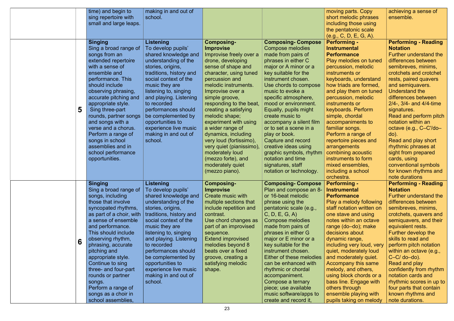|   | time) and begin to<br>sing repertoire with<br>small and large leaps.                                                                                                                                                                                                                                                                                                                                                                  | making in and out of<br>school.                                                                                                                                                                                                                                                                                                                                                  |                                                                                                                                                                                                                                                                                                                                                                                                                                                                                                       |                                                                                                                                                                                                                                                                                                                                                                                                                                                                                                                                      | moving parts. Copy<br>short melodic phrases<br>including those using<br>the pentatonic scale<br>(e.g., C, D, E, G, A).                                                                                                                                                                                                                                                                                                                                                                                         | achieving a sense of<br>ensemble.                                                                                                                                                                                                                                                                                                                                                                                                                                                                                                             |
|---|---------------------------------------------------------------------------------------------------------------------------------------------------------------------------------------------------------------------------------------------------------------------------------------------------------------------------------------------------------------------------------------------------------------------------------------|----------------------------------------------------------------------------------------------------------------------------------------------------------------------------------------------------------------------------------------------------------------------------------------------------------------------------------------------------------------------------------|-------------------------------------------------------------------------------------------------------------------------------------------------------------------------------------------------------------------------------------------------------------------------------------------------------------------------------------------------------------------------------------------------------------------------------------------------------------------------------------------------------|--------------------------------------------------------------------------------------------------------------------------------------------------------------------------------------------------------------------------------------------------------------------------------------------------------------------------------------------------------------------------------------------------------------------------------------------------------------------------------------------------------------------------------------|----------------------------------------------------------------------------------------------------------------------------------------------------------------------------------------------------------------------------------------------------------------------------------------------------------------------------------------------------------------------------------------------------------------------------------------------------------------------------------------------------------------|-----------------------------------------------------------------------------------------------------------------------------------------------------------------------------------------------------------------------------------------------------------------------------------------------------------------------------------------------------------------------------------------------------------------------------------------------------------------------------------------------------------------------------------------------|
| 5 | <b>Singing</b><br>Sing a broad range of<br>songs from an<br>extended repertoire<br>with a sense of<br>ensemble and<br>performance. This<br>should include<br>observing phrasing,<br>accurate pitching and<br>appropriate style.<br>Sing three-part<br>rounds, partner songs<br>and songs with a<br>verse and a chorus.<br>Perform a range of<br>songs in school<br>assemblies and in<br>school performance<br>opportunities.          | <b>Listening</b><br>To develop pupils'<br>shared knowledge and<br>understanding of the<br>stories, origins,<br>traditions, history and<br>social context of the<br>music they are<br>listening to, singing<br>and playing. Listening<br>to recorded<br>performances should<br>be complemented by<br>opportunities to<br>experience live music<br>making in and out of<br>school. | <b>Composing-</b><br><b>Improvise</b><br>Improvise freely over a<br>drone, developing<br>sense of shape and<br>character, using tuned<br>percussion and<br>melodic instruments.<br>Improvise over a<br>simple groove,<br>responding to the beat,<br>creating a satisfying<br>melodic shape;<br>experiment with using<br>a wider range of<br>dynamics, including<br>very loud (fortissimo),<br>very quiet (pianissimo),<br>moderately loud<br>(mezzo forte), and<br>moderately quiet<br>(mezzo piano). | <b>Composing-Compose</b><br>Compose melodies<br>made from pairs of<br>phrases in either C<br>major or A minor or a<br>key suitable for the<br>instrument chosen.<br>Use chords to compose<br>music to evoke a<br>specific atmosphere,<br>mood or environment.<br>Equally, pupils might<br>create music to<br>accompany a silent film<br>or to set a scene in a<br>play or book.<br><b>Capture and record</b><br>creative ideas using<br>graphic symbols, rhythm<br>notation and time<br>signatures, staff<br>notation or technology. | <b>Performing -</b><br><b>Instrumental</b><br><b>Performance</b><br>Play melodies on tuned<br>percussion, melodic<br>instruments or<br>keyboards, understand<br>how triads are formed,<br>and play them on tuned<br>percussion, melodic<br>instruments or<br>keyboards. Perform<br>simple, chordal<br>accompaniments to<br>familiar songs.<br>Perform a range of<br>repertoire pieces and<br>arrangements<br>combining acoustic<br>instruments to form<br>mixed ensembles,<br>including a school<br>orchestra. | <b>Performing - Reading</b><br><b>Notation</b><br><b>Further understand the</b><br>differences between<br>semibreves, minims,<br>crotchets and crotchet<br>rests, paired quavers<br>and semiquavers.<br>Understand the<br>differences between<br>$2/4$ -, $3/4$ - and $4/4$ -time<br>signatures.<br>Read and perform pitch<br>notation within an<br>octave (e.g., C-C'/do-<br>$do)$ .<br>Read and play short<br>rhythmic phrases at<br>sight from prepared<br>cards, using<br>conventional symbols<br>for known rhythms and<br>note durations |
| 6 | <b>Singing</b><br>Sing a broad range of<br>songs, including<br>those that involve<br>syncopated rhythms,<br>as part of a choir, with<br>a sense of ensemble<br>and performance.<br>This should include<br>observing rhythm,<br>phrasing, accurate<br>pitching and<br>appropriate style.<br>Continue to sing<br>three- and four-part<br>rounds or partner<br>songs.<br>Perform a range of<br>songs as a choir in<br>school assemblies, | <b>Listening</b><br>To develop pupils'<br>shared knowledge and<br>understanding of the<br>stories, origins,<br>traditions, history and<br>social context of the<br>music they are<br>listening to, singing<br>and playing. Listening<br>to recorded<br>performances should<br>be complemented by<br>opportunities to<br>experience live music<br>making in and out of<br>school. | <b>Composing-</b><br><b>Improvise</b><br>Create music with<br>multiple sections that<br>include repetition and<br>contrast.<br>Use chord changes as<br>part of an improvised<br>sequence.<br><b>Extend improvised</b><br>melodies beyond 8<br>beats over a fixed<br>groove, creating a<br>satisfying melodic<br>shape.                                                                                                                                                                                | <b>Composing- Compose</b><br>Plan and compose an 8-<br>or 16-beat melodic<br>phrase using the<br>pentatonic scale (e.g.,<br>C, D, E, G, A<br><b>Compose melodies</b><br>made from pairs of<br>phrases in either G<br>major or E minor or a<br>key suitable for the<br>instrument chosen.<br>Either of these melodies<br>can be enhanced with<br>rhythmic or chordal<br>accompaniment.<br>Compose a ternary<br>piece; use available<br>music software/apps to<br>create and record it,                                                | <b>Performing -</b><br><b>Instrumental</b><br><b>Performance</b><br>Play a melody following<br>staff notation written on<br>one stave and using<br>notes within an octave<br>range (do-do); make<br>decisions about<br>dynamic range,<br>including very loud, very<br>quiet, moderately loud<br>and moderately quiet.<br>Accompany this same<br>melody, and others,<br>using block chords or a<br>bass line. Engage with<br>others through<br>ensemble playing with<br>pupils taking on melody                 | <b>Performing - Reading</b><br><b>Notation</b><br><b>Further understand the</b><br>differences between<br>semibreves, minims,<br>crotchets, quavers and<br>semiquavers, and their<br>equivalent rests.<br>Further develop the<br>skills to read and<br>perform pitch notation<br>within an octave (e.g.,<br>$C-C/do$ -do).<br>Read and play<br>confidently from rhythm<br>notation cards and<br>rhythmic scores in up to<br>four parts that contain<br>known rhythms and<br>note durations.                                                   |